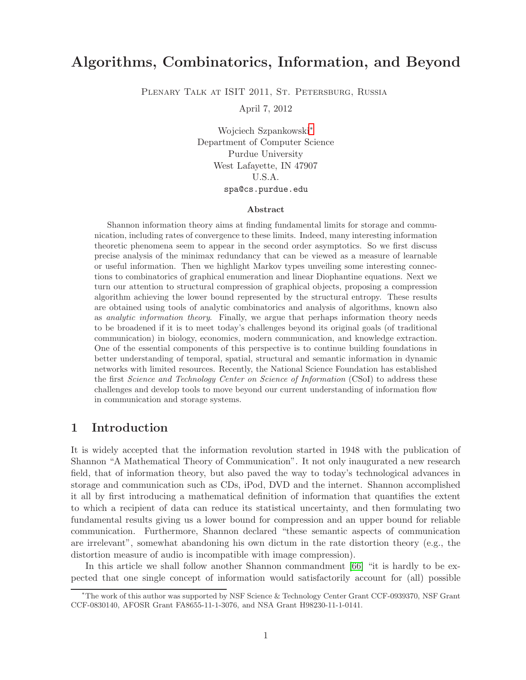# Algorithms, Combinatorics, Information, and Beyond

PLENARY TALK AT ISIT 2011, ST. PETERSBURG, RUSSIA

April 7, 2012

Wojciech Szpankowski[∗](#page-0-0) Department of Computer Science Purdue University West Lafayette, IN 47907 U.S.A. spa@cs.purdue.edu

#### Abstract

Shannon information theory aims at finding fundamental limits for storage and communication, including rates of convergence to these limits. Indeed, many interesting information theoretic phenomena seem to appear in the second order asymptotics. So we first discuss precise analysis of the minimax redundancy that can be viewed as a measure of learnable or useful information. Then we highlight Markov types unveiling some interesting connections to combinatorics of graphical enumeration and linear Diophantine equations. Next we turn our attention to structural compression of graphical objects, proposing a compression algorithm achieving the lower bound represented by the structural entropy. These results are obtained using tools of analytic combinatorics and analysis of algorithms, known also as *analytic information theory*. Finally, we argue that perhaps information theory needs to be broadened if it is to meet today's challenges beyond its original goals (of traditional communication) in biology, economics, modern communication, and knowledge extraction. One of the essential components of this perspective is to continue building foundations in better understanding of temporal, spatial, structural and semantic information in dynamic networks with limited resources. Recently, the National Science Foundation has established the first Science and Technology Center on Science of Information (CSoI) to address these challenges and develop tools to move beyond our current understanding of information flow in communication and storage systems.

## 1 Introduction

It is widely accepted that the information revolution started in 1948 with the publication of Shannon "A Mathematical Theory of Communication". It not only inaugurated a new research field, that of information theory, but also paved the way to today's technological advances in storage and communication such as CDs, iPod, DVD and the internet. Shannon accomplished it all by first introducing a mathematical definition of information that quantifies the extent to which a recipient of data can reduce its statistical uncertainty, and then formulating two fundamental results giving us a lower bound for compression and an upper bound for reliable communication. Furthermore, Shannon declared "these semantic aspects of communication are irrelevant", somewhat abandoning his own dictum in the rate distortion theory (e.g., the distortion measure of audio is incompatible with image compression).

In this article we shall follow another Shannon commandment [\[66\]](#page-28-0) "it is hardly to be expected that one single concept of information would satisfactorily account for (all) possible

<span id="page-0-0"></span><sup>∗</sup>The work of this author was supported by NSF Science & Technology Center Grant CCF-0939370, NSF Grant CCF-0830140, AFOSR Grant FA8655-11-1-3076, and NSA Grant H98230-11-1-0141.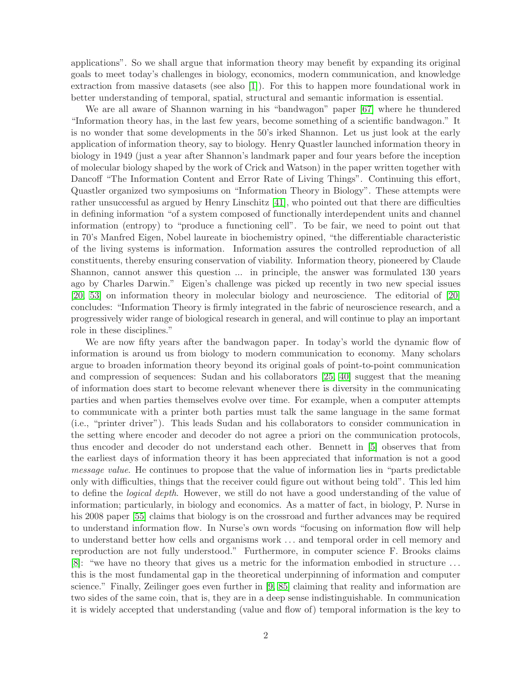applications". So we shall argue that information theory may benefit by expanding its original goals to meet today's challenges in biology, economics, modern communication, and knowledge extraction from massive datasets (see also [\[1\]](#page-25-0)). For this to happen more foundational work in better understanding of temporal, spatial, structural and semantic information is essential.

We are all aware of Shannon warning in his "bandwagon" paper [\[67\]](#page-28-1) where he thundered "Information theory has, in the last few years, become something of a scientific bandwagon." It is no wonder that some developments in the 50's irked Shannon. Let us just look at the early application of information theory, say to biology. Henry Quastler launched information theory in biology in 1949 (just a year after Shannon's landmark paper and four years before the inception of molecular biology shaped by the work of Crick and Watson) in the paper written together with Dancoff "The Information Content and Error Rate of Living Things". Continuing this effort, Quastler organized two symposiums on "Information Theory in Biology". These attempts were rather unsuccessful as argued by Henry Linschitz [\[41\]](#page-27-0), who pointed out that there are difficulties in defining information "of a system composed of functionally interdependent units and channel information (entropy) to "produce a functioning cell". To be fair, we need to point out that in 70's Manfred Eigen, Nobel laureate in biochemistry opined, "the differentiable characteristic of the living systems is information. Information assures the controlled reproduction of all constituents, thereby ensuring conservation of viability. Information theory, pioneered by Claude Shannon, cannot answer this question ... in principle, the answer was formulated 130 years ago by Charles Darwin." Eigen's challenge was picked up recently in two new special issues [\[20,](#page-26-0) [53\]](#page-27-1) on information theory in molecular biology and neuroscience. The editorial of [\[20\]](#page-26-0) concludes: "Information Theory is firmly integrated in the fabric of neuroscience research, and a progressively wider range of biological research in general, and will continue to play an important role in these disciplines."

We are now fifty years after the bandwagon paper. In today's world the dynamic flow of information is around us from biology to modern communication to economy. Many scholars argue to broaden information theory beyond its original goals of point-to-point communication and compression of sequences: Sudan and his collaborators [\[25,](#page-26-1) [40\]](#page-27-2) suggest that the meaning of information does start to become relevant whenever there is diversity in the communicating parties and when parties themselves evolve over time. For example, when a computer attempts to communicate with a printer both parties must talk the same language in the same format (i.e., "printer driver"). This leads Sudan and his collaborators to consider communication in the setting where encoder and decoder do not agree a priori on the communication protocols, thus encoder and decoder do not understand each other. Bennett in [\[5\]](#page-25-1) observes that from the earliest days of information theory it has been appreciated that information is not a good message value. He continues to propose that the value of information lies in "parts predictable only with difficulties, things that the receiver could figure out without being told". This led him to define the logical depth. However, we still do not have a good understanding of the value of information; particularly, in biology and economics. As a matter of fact, in biology, P. Nurse in his 2008 paper [\[55\]](#page-27-3) claims that biology is on the crossroad and further advances may be required to understand information flow. In Nurse's own words "focusing on information flow will help to understand better how cells and organisms work . . . and temporal order in cell memory and reproduction are not fully understood." Furthermore, in computer science F. Brooks claims [\[8\]](#page-25-2): "we have no theory that gives us a metric for the information embodied in structure . . . this is the most fundamental gap in the theoretical underpinning of information and computer science." Finally, Zeilinger goes even further in [\[9,](#page-25-3) [85\]](#page-29-0) claiming that reality and information are two sides of the same coin, that is, they are in a deep sense indistinguishable. In communication it is widely accepted that understanding (value and flow of) temporal information is the key to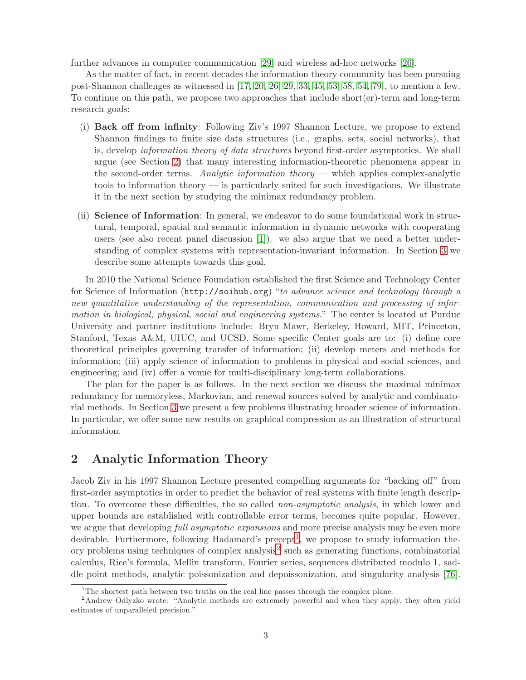further advances in computer communication [\[29\]](#page-26-2) and wireless ad-hoc networks [\[26\]](#page-26-3).

As the matter of fact, in recent decades the information theory community has been pursuing post-Shannon challenges as witnessed in [\[17,](#page-25-4) [20,](#page-26-0) [26,](#page-26-3) [29,](#page-26-2) [33,](#page-26-4) [45,](#page-27-4) [53,](#page-27-1) [58,](#page-27-5) [54,](#page-27-6) [79\]](#page-28-2), to mention a few. To continue on this path, we propose two approaches that include short(er)-term and long-term research goals:

- (i) Back off from infinity: Following Ziv's 1997 Shannon Lecture, we propose to extend Shannon findings to finite size data structures (i.e., graphs, sets, social networks), that is, develop information theory of data structures beyond first-order asymptotics. We shall argue (see Section [2\)](#page-2-0) that many interesting information-theoretic phenomena appear in the second-order terms. Analytic information theory — which applies complex-analytic tools to information theory — is particularly suited for such investigations. We illustrate it in the next section by studying the minimax redundancy problem.
- (ii) Science of Information: In general, we endeavor to do some foundational work in structural, temporal, spatial and semantic information in dynamic networks with cooperating users (see also recent panel discussion [\[1\]](#page-25-0)). we also argue that we need a better understanding of complex systems with representation-invariant information. In Section [3](#page-16-0) we describe some attempts towards this goal.

In 2010 the National Science Foundation established the first Science and Technology Center for Science of Information (http://soihub.org) "to advance science and technology through a new quantitative understanding of the representation, communication and processing of information in biological, physical, social and engineering systems." The center is located at Purdue University and partner institutions include: Bryn Mawr, Berkeley, Howard, MIT, Princeton, Stanford, Texas A&M, UIUC, and UCSD. Some specific Center goals are to: (i) define core theoretical principles governing transfer of information; (ii) develop meters and methods for information; (iii) apply science of information to problems in physical and social sciences, and engineering; and (iv) offer a venue for multi-disciplinary long-term collaborations.

The plan for the paper is as follows. In the next section we discuss the maximal minimax redundancy for memoryless, Markovian, and renewal sources solved by analytic and combinatorial methods. In Section [3](#page-16-0) we present a few problems illustrating broader science of information. In particular, we offer some new results on graphical compression as an illustration of structural information.

# <span id="page-2-0"></span>2 Analytic Information Theory

Jacob Ziv in his 1997 Shannon Lecture presented compelling arguments for "backing off" from first-order asymptotics in order to predict the behavior of real systems with finite length description. To overcome these difficulties, the so called non-asymptotic analysis, in which lower and upper bounds are established with controllable error terms, becomes quite popular. However, we argue that developing full asymptotic expansions and more precise analysis may be even more desirable. Furthermore, following Hadamard's precept<sup>[1](#page-2-1)</sup>, we propose to study information the-ory problems using techniques of complex analysis<sup>[2](#page-2-2)</sup> such as generating functions, combinatorial calculus, Rice's formula, Mellin transform, Fourier series, sequences distributed modulo 1, saddle point methods, analytic poissonization and depoissonization, and singularity analysis [\[76\]](#page-28-3).

<span id="page-2-1"></span><sup>&</sup>lt;sup>1</sup>The shortest path between two truths on the real line passes through the complex plane.

<span id="page-2-2"></span><sup>&</sup>lt;sup>2</sup>Andrew Odlyzko wrote: "Analytic methods are extremely powerful and when they apply, they often yield estimates of unparalleled precision."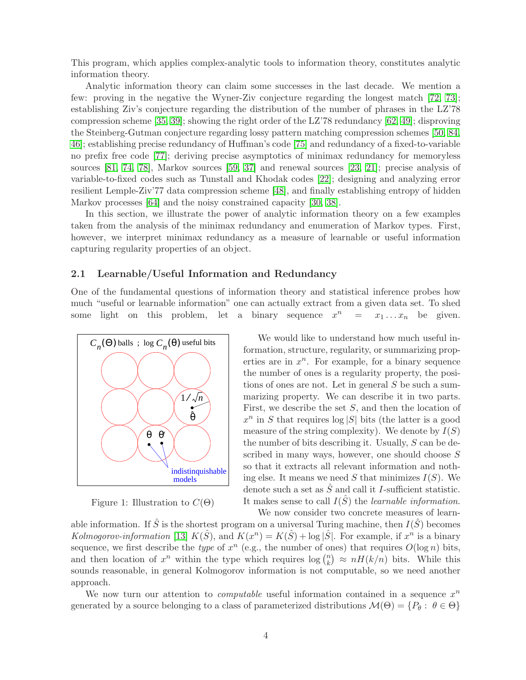This program, which applies complex-analytic tools to information theory, constitutes analytic information theory.

Analytic information theory can claim some successes in the last decade. We mention a few: proving in the negative the Wyner-Ziv conjecture regarding the longest match [\[72,](#page-28-4) [73\]](#page-28-5); establishing Ziv's conjecture regarding the distribution of the number of phrases in the LZ'78 compression scheme [\[35,](#page-26-5) [39\]](#page-27-7); showing the right order of the LZ'78 redundancy [\[62,](#page-28-6) [49\]](#page-27-8); disproving the Steinberg-Gutman conjecture regarding lossy pattern matching compression schemes [\[50,](#page-27-9) [84,](#page-29-1) [46\]](#page-27-10); establishing precise redundancy of Huffman's code [\[75\]](#page-28-7) and redundancy of a fixed-to-variable no prefix free code [\[77\]](#page-28-8); deriving precise asymptotics of minimax redundancy for memoryless sources [\[81,](#page-29-2) [74,](#page-28-9) [78\]](#page-28-10), Markov sources [\[59,](#page-28-11) [37\]](#page-26-6) and renewal sources [\[23,](#page-26-7) [21\]](#page-26-8); precise analysis of variable-to-fixed codes such as Tunstall and Khodak codes [\[22\]](#page-26-9); designing and analyzing error resilient Lemple-Ziv'77 data compression scheme [\[48\]](#page-27-11), and finally establishing entropy of hidden Markov processes [\[64\]](#page-28-12) and the noisy constrained capacity [\[30,](#page-26-10) [38\]](#page-27-12).

In this section, we illustrate the power of analytic information theory on a few examples taken from the analysis of the minimax redundancy and enumeration of Markov types. First, however, we interpret minimax redundancy as a measure of learnable or useful information capturing regularity properties of an object.

## <span id="page-3-1"></span>2.1 Learnable/Useful Information and Redundancy

One of the fundamental questions of information theory and statistical inference probes how much "useful or learnable information" one can actually extract from a given data set. To shed some light on this problem, let a binary sequence  $x^n = x_1 \dots x_n$  be given.



<span id="page-3-0"></span>Figure 1: Illustration to  $C(\Theta)$ 

We would like to understand how much useful information, structure, regularity, or summarizing properties are in  $x^n$ . For example, for a binary sequence the number of ones is a regularity property, the positions of ones are not. Let in general S be such a summarizing property. We can describe it in two parts. First, we describe the set S, and then the location of  $x^n$  in S that requires  $\log |S|$  bits (the latter is a good measure of the string complexity). We denote by  $I(S)$ the number of bits describing it. Usually,  $S$  can be described in many ways, however, one should choose  $S$ so that it extracts all relevant information and nothing else. It means we need S that minimizes  $I(S)$ . We denote such a set as  $\hat{S}$  and call it I-sufficient statistic. It makes sense to call  $I(\hat{S})$  the *learnable information*. We now consider two concrete measures of learn-

able information. If  $\hat{S}$  is the shortest program on a universal Turing machine, then  $I(\hat{S})$  becomes Kolmogorov-information [\[13\]](#page-25-5)  $K(\hat{S})$ , and  $K(x^n) = K(\hat{S}) + \log |\hat{S}|$ . For example, if  $x^n$  is a binary sequence, we first describe the *type* of  $x^n$  (e.g., the number of ones) that requires  $O(\log n)$  bits, and then location of  $x^n$  within the type which requires  $\log {n \choose k}$  ${k \choose k} \approx nH(k/n)$  bits. While this sounds reasonable, in general Kolmogorov information is not computable, so we need another approach.

We now turn our attention to *computable* useful information contained in a sequence  $x^n$ generated by a source belonging to a class of parameterized distributions  $\mathcal{M}(\Theta) = \{P_{\theta} : \theta \in \Theta\}$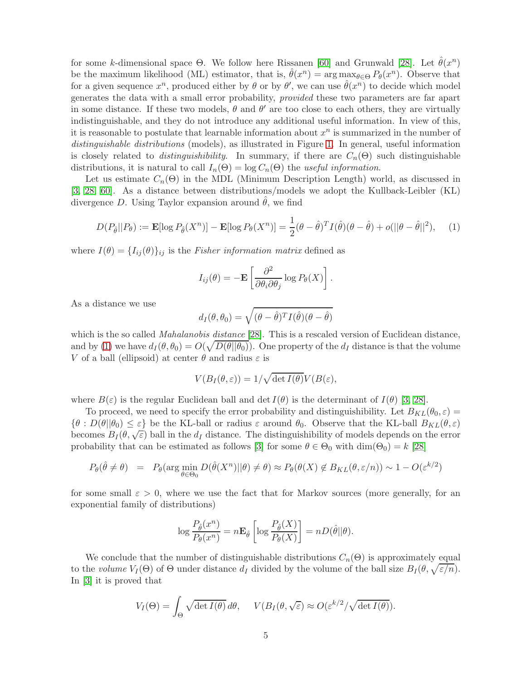for some k-dimensional space  $\Theta$ . We follow here Rissanen [\[60\]](#page-28-13) and Grunwald [\[28\]](#page-26-11). Let  $\hat{\theta}(x^n)$ be the maximum likelihood (ML) estimator, that is,  $\hat{\theta}(x^n) = \arg \max_{\theta \in \Theta} P_{\theta}(x^n)$ . Observe that for a given sequence  $x^n$ , produced either by  $\theta$  or by  $\theta'$ , we can use  $\hat{\theta}(x^n)$  to decide which model generates the data with a small error probability, provided these two parameters are far apart in some distance. If these two models,  $\theta$  and  $\theta'$  are too close to each others, they are virtually indistinguishable, and they do not introduce any additional useful information. In view of this, it is reasonable to postulate that learnable information about  $x^n$  is summarized in the number of distinguishable distributions (models), as illustrated in Figure [1.](#page-3-0) In general, useful information is closely related to *distinguishibility*. In summary, if there are  $C_n(\Theta)$  such distinguishable distributions, it is natural to call  $I_n(\Theta) = \log C_n(\Theta)$  the useful information.

Let us estimate  $C_n(\Theta)$  in the MDL (Minimum Description Length) world, as discussed in [\[3,](#page-25-6) [28,](#page-26-11) [60\]](#page-28-13). As a distance between distributions/models we adopt the Kullback-Leibler (KL) divergence D. Using Taylor expansion around  $\theta$ , we find

<span id="page-4-0"></span>
$$
D(P_{\hat{\theta}}||P_{\theta}) := \mathbf{E}[\log P_{\hat{\theta}}(X^n)] - \mathbf{E}[\log P_{\theta}(X^n)] = \frac{1}{2}(\theta - \hat{\theta})^T I(\hat{\theta})(\theta - \hat{\theta}) + o(||\theta - \hat{\theta}||^2), \quad (1)
$$

where  $I(\theta) = \{I_{ij}(\theta)\}_{ij}$  is the Fisher information matrix defined as

$$
I_{ij}(\theta) = -\mathbf{E} \left[ \frac{\partial^2}{\partial \theta_i \partial \theta_j} \log P_{\theta}(X) \right].
$$

As a distance we use

$$
d_I(\theta, \theta_0) = \sqrt{(\theta - \hat{\theta})^T I(\hat{\theta})(\theta - \hat{\theta})}
$$

which is the so called *Mahalanobis distance* [\[28\]](#page-26-11). This is a rescaled version of Euclidean distance, and by [\(1\)](#page-4-0) we have  $d_I(\theta, \theta_0) = O(\sqrt{D(\theta||\theta_0)})$ . One property of the  $d_I$  distance is that the volume V of a ball (ellipsoid) at center  $\theta$  and radius  $\varepsilon$  is

$$
V(B_I(\theta,\varepsilon)) = 1/\sqrt{\det I(\theta)} V(B(\varepsilon),
$$

where  $B(\varepsilon)$  is the regular Euclidean ball and det  $I(\theta)$  is the determinant of  $I(\theta)$  [\[3,](#page-25-6) [28\]](#page-26-11).

To proceed, we need to specify the error probability and distinguishibility. Let  $B_{KL}(\theta_0, \varepsilon)$  =  $\{\theta : D(\theta || \theta_0) \leq \varepsilon\}$  be the KL-ball or radius  $\varepsilon$  around  $\theta_0$ . Observe that the KL-ball  $B_{KL}(\theta, \varepsilon)$ becomes  $B_I(\theta, \sqrt{\varepsilon})$  ball in the  $d_I$  distance. The distinguishibility of models depends on the error probability that can be estimated as follows [\[3\]](#page-25-6) for some  $\theta \in \Theta_0$  with  $\dim(\Theta_0) = k$  [\[28\]](#page-26-11)

$$
P_{\theta}(\hat{\theta} \neq \theta) = P_{\theta}(\arg\min_{\theta \in \Theta_0} D(\hat{\theta}(X^n)||\theta) \neq \theta) \approx P_{\theta}(\theta(X) \notin B_{KL}(\theta, \varepsilon/n)) \sim 1 - O(\varepsilon^{k/2})
$$

for some small  $\varepsilon > 0$ , where we use the fact that for Markov sources (more generally, for an exponential family of distributions)

$$
\log \frac{P_{\hat{\theta}}(x^n)}{P_{\theta}(x^n)} = n \mathbf{E}_{\hat{\theta}} \left[ \log \frac{P_{\hat{\theta}}(X)}{P_{\theta}(X)} \right] = n D(\hat{\theta} || \theta).
$$

We conclude that the number of distinguishable distributions  $C_n(\Theta)$  is approximately equal to the volume  $V_I(\Theta)$  of  $\Theta$  under distance  $d_I$  divided by the volume of the ball size  $B_I(\theta,\sqrt{\varepsilon/n})$ . In [\[3\]](#page-25-6) it is proved that

$$
V_I(\Theta) = \int_{\Theta} \sqrt{\det I(\theta)} \, d\theta, \quad V(B_I(\theta, \sqrt{\varepsilon}) \approx O(\varepsilon^{k/2} / \sqrt{\det I(\theta)}).
$$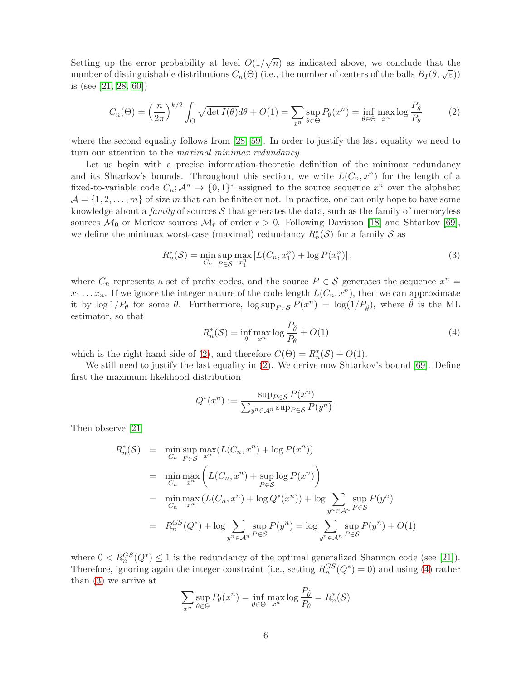Setting up the error probability at level  $O(1/\sqrt{n})$  as indicated above, we conclude that the number of distinguishable distributions  $C_n(\Theta)$  (i.e., the number of centers of the balls  $B_I(\theta,\sqrt{\varepsilon})$ ) is (see [\[21,](#page-26-8) [28,](#page-26-11) [60\]](#page-28-13))

<span id="page-5-0"></span>
$$
C_n(\Theta) = \left(\frac{n}{2\pi}\right)^{k/2} \int_{\Theta} \sqrt{\det I(\theta)} d\theta + O(1) = \sum_{x^n} \sup_{\theta \in \Theta} P_{\theta}(x^n) = \inf_{\theta \in \Theta} \max_{x^n} \log \frac{P_{\hat{\theta}}}{P_{\theta}} \tag{2}
$$

where the second equality follows from [\[28,](#page-26-11) [59\]](#page-28-11). In order to justify the last equality we need to turn our attention to the maximal minimax redundancy.

Let us begin with a precise information-theoretic definition of the minimax redundancy and its Shtarkov's bounds. Throughout this section, we write  $L(C_n, x^n)$  for the length of a fixed-to-variable code  $C_n$ ;  $\mathcal{A}^n \to \{0,1\}^*$  assigned to the source sequence  $x^n$  over the alphabet  $\mathcal{A} = \{1, 2, \ldots, m\}$  of size m that can be finite or not. In practice, one can only hope to have some knowledge about a family of sources  $S$  that generates the data, such as the family of memoryless sources  $\mathcal{M}_0$  or Markov sources  $\mathcal{M}_r$  of order  $r > 0$ . Following Davisson [\[18\]](#page-26-12) and Shtarkov [\[69\]](#page-28-14), we define the minimax worst-case (maximal) redundancy  $R_n^*(\mathcal{S})$  for a family  $\mathcal S$  as

<span id="page-5-2"></span>
$$
R_n^*(\mathcal{S}) = \min_{C_n} \sup_{P \in \mathcal{S}} \max_{x_1^n} \left[ L(C_n, x_1^n) + \log P(x_1^n) \right],\tag{3}
$$

where  $C_n$  represents a set of prefix codes, and the source  $P \in \mathcal{S}$  generates the sequence  $x^n =$  $x_1 \ldots x_n$ . If we ignore the integer nature of the code length  $L(C_n, x^n)$ , then we can approximate it by  $\log 1/P_{\theta}$  for some  $\theta$ . Furthermore,  $\log \sup_{P \in \mathcal{S}} P(x^n) = \log(1/P_{\hat{\theta}})$ , where  $\hat{\theta}$  is the ML estimator, so that

<span id="page-5-1"></span>
$$
R_n^*(\mathcal{S}) = \inf_{\theta} \max_{x^n} \log \frac{P_{\hat{\theta}}}{P_{\theta}} + O(1)
$$
\n(4)

which is the right-hand side of [\(2\)](#page-5-0), and therefore  $C(\Theta) = R_n^*(\mathcal{S}) + O(1)$ .

We still need to justify the last equality in  $(2)$ . We derive now Shtarkov's bound [\[69\]](#page-28-14). Define first the maximum likelihood distribution

$$
Q^*(x^n) := \frac{\sup_{P \in \mathcal{S}} P(x^n)}{\sum_{y^n \in \mathcal{A}^n} \sup_{P \in \mathcal{S}} P(y^n)}.
$$

Then observe [\[21\]](#page-26-8)

$$
R_n^*(\mathcal{S}) = \min_{C_n} \sup_{P \in \mathcal{S}} \max_{x^n} (L(C_n, x^n) + \log P(x^n))
$$
  
= 
$$
\min_{C_n} \max_{x^n} \left( L(C_n, x^n) + \sup_{P \in \mathcal{S}} \log P(x^n) \right)
$$
  
= 
$$
\min_{C_n} \max_{x^n} (L(C_n, x^n) + \log Q^*(x^n)) + \log \sum_{y^n \in \mathcal{A}^n} \sup_{P \in \mathcal{S}} P(y^n)
$$
  
= 
$$
R_n^{GS}(Q^*) + \log \sum_{y^n \in \mathcal{A}^n} \sup_{P \in \mathcal{S}} P(y^n) = \log \sum_{y^n \in \mathcal{A}^n} \sup_{P \in \mathcal{S}} P(y^n) + O(1)
$$

where  $0 < R_n^{GS}(Q^*) \le 1$  is the redundancy of the optimal generalized Shannon code (see [\[21\]](#page-26-8)). Therefore, ignoring again the integer constraint (i.e., setting  $R_n^{GS}(Q^*)=0$ ) and using [\(4\)](#page-5-1) rather than [\(3\)](#page-5-2) we arrive at

$$
\sum_{x^n} \sup_{\theta \in \Theta} P_{\theta}(x^n) = \inf_{\theta \in \Theta} \max_{x^n} \log \frac{P_{\hat{\theta}}}{P_{\theta}} = R_n^*(\mathcal{S})
$$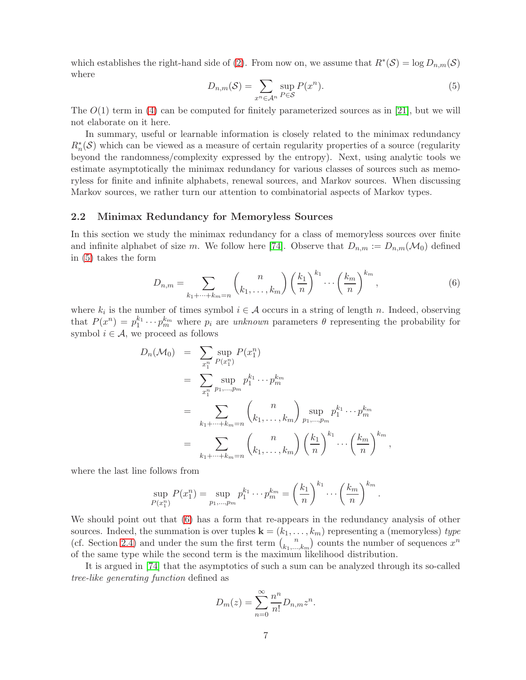which establishes the right-hand side of [\(2\)](#page-5-0). From now on, we assume that  $R^*(\mathcal{S}) = \log D_{n,m}(\mathcal{S})$ where

<span id="page-6-0"></span>
$$
D_{n,m}(\mathcal{S}) = \sum_{x^n \in \mathcal{A}^n} \sup_{P \in \mathcal{S}} P(x^n). \tag{5}
$$

The  $O(1)$  term in [\(4\)](#page-5-1) can be computed for finitely parameterized sources as in [\[21\]](#page-26-8), but we will not elaborate on it here.

In summary, useful or learnable information is closely related to the minimax redundancy  $R_n^*(\mathcal{S})$  which can be viewed as a measure of certain regularity properties of a source (regularity beyond the randomness/complexity expressed by the entropy). Next, using analytic tools we estimate asymptotically the minimax redundancy for various classes of sources such as memoryless for finite and infinite alphabets, renewal sources, and Markov sources. When discussing Markov sources, we rather turn our attention to combinatorial aspects of Markov types.

### 2.2 Minimax Redundancy for Memoryless Sources

In this section we study the minimax redundancy for a class of memoryless sources over finite and infinite alphabet of size m. We follow here [\[74\]](#page-28-9). Observe that  $D_{n,m} := D_{n,m}(\mathcal{M}_0)$  defined in [\(5\)](#page-6-0) takes the form

<span id="page-6-1"></span>
$$
D_{n,m} = \sum_{k_1 + \dots + k_m = n} {n \choose k_1, \dots, k_m} \left(\frac{k_1}{n}\right)^{k_1} \dots \left(\frac{k_m}{n}\right)^{k_m},\tag{6}
$$

where  $k_i$  is the number of times symbol  $i \in \mathcal{A}$  occurs in a string of length n. Indeed, observing that  $P(x^n) = p_1^{k_1}$  $i_1^{k_1} \cdots p_m^{k_m}$  where  $p_i$  are unknown parameters  $\theta$  representing the probability for symbol  $i \in \mathcal{A}$ , we proceed as follows

$$
D_n(\mathcal{M}_0) = \sum_{x_1^n} \sup_{P(x_1^n)} P(x_1^n)
$$
  
= 
$$
\sum_{x_1^n} \sup_{p_1, \dots, p_m} p_1^{k_1} \cdots p_m^{k_m}
$$
  
= 
$$
\sum_{k_1 + \dots + k_m = n} {n \choose k_1, \dots, k_m} \sup_{p_1, \dots, p_m} p_1^{k_1} \cdots p_m^{k_m}
$$
  
= 
$$
\sum_{k_1 + \dots + k_m = n} {n \choose k_1, \dots, k_m} \left(\frac{k_1}{n}\right)^{k_1} \cdots \left(\frac{k_m}{n}\right)^{k_m},
$$

where the last line follows from

$$
\sup_{P(x_1^n)} P(x_1^n) = \sup_{p_1, \dots, p_m} p_1^{k_1} \dots p_m^{k_m} = \left(\frac{k_1}{n}\right)^{k_1} \dots \left(\frac{k_m}{n}\right)^{k_m}.
$$

We should point out that  $(6)$  has a form that re-appears in the redundancy analysis of other sources. Indeed, the summation is over tuples  $\mathbf{k} = (k_1, \ldots, k_m)$  representing a (memoryless) type (cf. Section [2.4\)](#page-11-0) and under the sum the first term  $\binom{n}{k_1}$  $\binom{n}{k_1,\ldots,k_m}$  counts the number of sequences  $x^n$ of the same type while the second term is the maximum likelihood distribution.

It is argued in [\[74\]](#page-28-9) that the asymptotics of such a sum can be analyzed through its so-called tree-like generating function defined as

$$
D_m(z) = \sum_{n=0}^{\infty} \frac{n^n}{n!} D_{n,m} z^n.
$$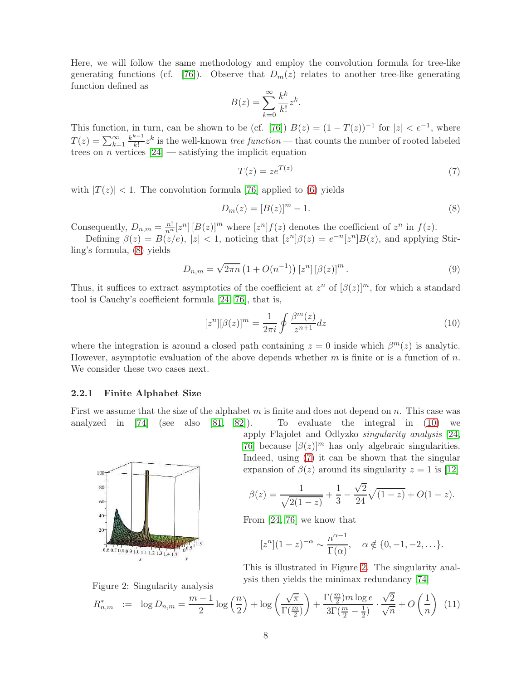Here, we will follow the same methodology and employ the convolution formula for tree-like generating functions (cf. [\[76\]](#page-28-3)). Observe that  $D_m(z)$  relates to another tree-like generating function defined as

$$
B(z) = \sum_{k=0}^{\infty} \frac{k^k}{k!} z^k.
$$

This function, in turn, can be shown to be (cf. [\[76\]](#page-28-3))  $B(z) = (1 - T(z))^{-1}$  for  $|z| < e^{-1}$ , where  $T(z) = \sum_{k=1}^{\infty} \frac{k^{k-1}}{k!}$  $\frac{k-1}{k!}z^k$  is the well-known *tree function* — that counts the number of rooted labeled trees on *n* vertices  $[24]$  — satisfying the implicit equation

<span id="page-7-2"></span>
$$
T(z) = z e^{T(z)} \tag{7}
$$

with  $|T(z)| < 1$ . The convolution formula [\[76\]](#page-28-3) applied to [\(6\)](#page-6-1) yields

<span id="page-7-0"></span>
$$
D_m(z) = [B(z)]^m - 1.
$$
 (8)

Consequently,  $D_{n,m} = \frac{n!}{n^n} [z^n] [B(z)]^m$  where  $[z^n] f(z)$  denotes the coefficient of  $z^n$  in  $f(z)$ .

Defining  $\beta(z) = B(z/e)$ ,  $|z| < 1$ , noticing that  $[z^n]\beta(z) = e^{-n}[z^n]B(z)$ , and applying Stirling's formula, [\(8\)](#page-7-0) yields

$$
D_{n,m} = \sqrt{2\pi n} \left( 1 + O(n^{-1}) \right) [z^n] \left[ \beta(z) \right]^m.
$$
 (9)

Thus, it suffices to extract asymptotics of the coefficient at  $z^n$  of  $(\beta(z))^m$ , for which a standard tool is Cauchy's coefficient formula [\[24,](#page-26-13) [76\]](#page-28-3), that is,

<span id="page-7-1"></span>
$$
[z^n][\beta(z)]^m = \frac{1}{2\pi i} \oint \frac{\beta^m(z)}{z^{n+1}} dz
$$
\n(10)

where the integration is around a closed path containing  $z = 0$  inside which  $\beta^{m}(z)$  is analytic. However, asymptotic evaluation of the above depends whether  $m$  is finite or is a function of  $n$ . We consider these two cases next.

#### 2.2.1 Finite Alphabet Size

First we assume that the size of the alphabet  $m$  is finite and does not depend on  $n$ . This case was analyzed in [\[74\]](#page-28-9) (see also [\[81,](#page-29-2) [82\]](#page-29-3)). To evaluate the integral in [\(10\)](#page-7-1) we



Figure 2: Singularity analysis

apply Flajolet and Odlyzko singularity analysis [\[24,](#page-26-13) [76\]](#page-28-3) because  $\lbrack \beta(z) \rbrack^m$  has only algebraic singularities. Indeed, using [\(7\)](#page-7-2) it can be shown that the singular expansion of  $\beta(z)$  around its singularity  $z = 1$  is [\[12\]](#page-25-7)

$$
\beta(z) = \frac{1}{\sqrt{2(1-z)}} + \frac{1}{3} - \frac{\sqrt{2}}{24}\sqrt{(1-z)} + O(1-z).
$$

From [\[24,](#page-26-13) [76\]](#page-28-3) we know that

$$
[z^n](1-z)^{-\alpha} \sim \frac{n^{\alpha-1}}{\Gamma(\alpha)}, \quad \alpha \notin \{0, -1, -2, \ldots\}.
$$

This is illustrated in Figure [2.](#page-7-3) The singularity analysis then yields the minimax redundancy [\[74\]](#page-28-9)

<span id="page-7-3"></span>
$$
R_{n,m}^* \ := \ \log D_{n,m} = \frac{m-1}{2} \log\left(\frac{n}{2}\right) + \log\left(\frac{\sqrt{\pi}}{\Gamma(\frac{m}{2})}\right) + \frac{\Gamma(\frac{m}{2})m \log e}{3\Gamma(\frac{m}{2}-\frac{1}{2})} \cdot \frac{\sqrt{2}}{\sqrt{n}} + O\left(\frac{1}{n}\right) \tag{11}
$$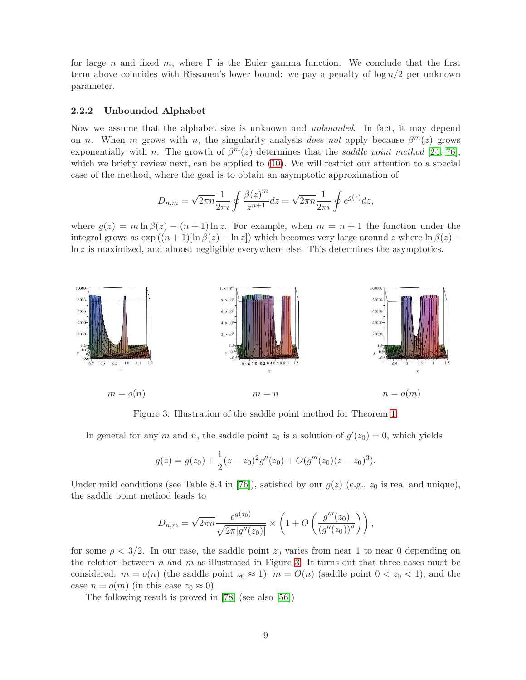for large n and fixed m, where  $\Gamma$  is the Euler gamma function. We conclude that the first term above coincides with Rissanen's lower bound: we pay a penalty of  $\log n/2$  per unknown parameter.

#### 2.2.2 Unbounded Alphabet

Now we assume that the alphabet size is unknown and unbounded. In fact, it may depend on *n*. When *m* grows with *n*, the singularity analysis does not apply because  $\beta^{m}(z)$  grows exponentially with n. The growth of  $\beta^{m}(z)$  determines that the saddle point method [\[24,](#page-26-13) [76\]](#page-28-3), which we briefly review next, can be applied to [\(10\)](#page-7-1). We will restrict our attention to a special case of the method, where the goal is to obtain an asymptotic approximation of

$$
D_{n,m}=\sqrt{2\pi n}\frac{1}{2\pi i}\oint \frac{\beta(z)^m}{z^{n+1}}dz=\sqrt{2\pi n}\frac{1}{2\pi i}\oint e^{g(z)}dz,
$$

where  $g(z) = m \ln \beta(z) - (n+1) \ln z$ . For example, when  $m = n+1$  the function under the integral grows as  $\exp((n+1)[\ln \beta(z) - \ln z])$  which becomes very large around z where  $\ln \beta(z)$ ln z is maximized, and almost negligible everywhere else. This determines the asymptotics.



Figure 3: Illustration of the saddle point method for Theorem [1.](#page-9-0)

In general for any m and n, the saddle point  $z_0$  is a solution of  $g'(z_0) = 0$ , which yields

<span id="page-8-0"></span>
$$
g(z) = g(z_0) + \frac{1}{2}(z - z_0)^2 g''(z_0) + O(g'''(z_0)(z - z_0)^3).
$$

Under mild conditions (see Table 8.4 in [\[76\]](#page-28-3)), satisfied by our  $g(z)$  (e.g.,  $z_0$  is real and unique), the saddle point method leads to

$$
D_{n,m} = \sqrt{2\pi n} \frac{e^{g(z_0)}}{\sqrt{2\pi |g''(z_0)|}} \times \left(1 + O\left(\frac{g'''(z_0)}{(g''(z_0))^{\rho}}\right)\right),\,
$$

for some  $\rho < 3/2$ . In our case, the saddle point  $z_0$  varies from near 1 to near 0 depending on the relation between n and m as illustrated in Figure [3.](#page-8-0) It turns out that three cases must be considered:  $m = o(n)$  (the saddle point  $z_0 \approx 1$ ),  $m = O(n)$  (saddle point  $0 < z_0 < 1$ ), and the case  $n = o(m)$  (in this case  $z_0 \approx 0$ ).

The following result is proved in [\[78\]](#page-28-10) (see also [\[56\]](#page-27-13))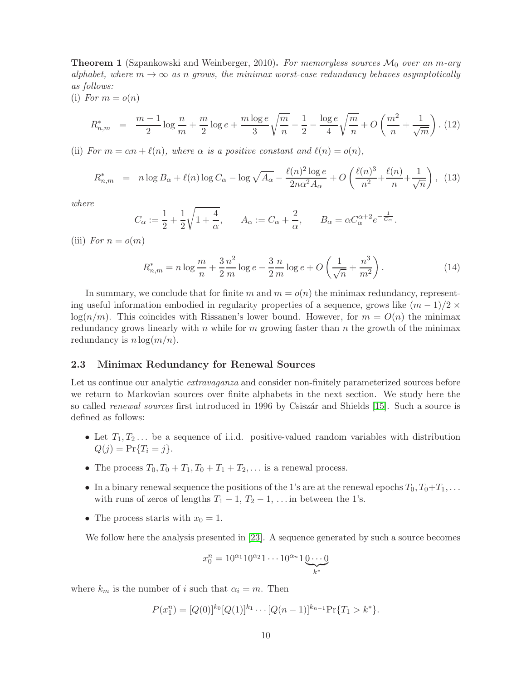<span id="page-9-0"></span>**Theorem 1** (Szpankowski and Weinberger, 2010). For memoryless sources  $\mathcal{M}_0$  over an m-ary alphabet, where  $m \to \infty$  as n grows, the minimax worst-case redundancy behaves asymptotically as follows:

(i) For  $m = o(n)$ 

$$
R_{n,m}^* = \frac{m-1}{2} \log \frac{n}{m} + \frac{m}{2} \log e + \frac{m \log e}{3} \sqrt{\frac{m}{n}} - \frac{1}{2} - \frac{\log e}{4} \sqrt{\frac{m}{n}} + O\left(\frac{m^2}{n} + \frac{1}{\sqrt{m}}\right). (12)
$$

(ii) For  $m = \alpha n + \ell(n)$ , where  $\alpha$  is a positive constant and  $\ell(n) = o(n)$ ,

$$
R_{n,m}^* = n \log B_{\alpha} + \ell(n) \log C_{\alpha} - \log \sqrt{A_{\alpha}} - \frac{\ell(n)^2 \log e}{2n\alpha^2 A_{\alpha}} + O\left(\frac{\ell(n)^3}{n^2} + \frac{\ell(n)}{n} + \frac{1}{\sqrt{n}}\right), (13)
$$

where

$$
C_{\alpha} := \frac{1}{2} + \frac{1}{2} \sqrt{1 + \frac{4}{\alpha}}, \qquad A_{\alpha} := C_{\alpha} + \frac{2}{\alpha}, \qquad B_{\alpha} = \alpha C_{\alpha}^{\alpha + 2} e^{-\frac{1}{C_{\alpha}}}.
$$

(iii) For  $n = o(m)$ 

$$
R_{n,m}^* = n \log \frac{m}{n} + \frac{3}{2} \frac{n^2}{m} \log e - \frac{3}{2} \frac{n}{m} \log e + O\left(\frac{1}{\sqrt{n}} + \frac{n^3}{m^2}\right).
$$
 (14)

In summary, we conclude that for finite m and  $m = o(n)$  the minimax redundancy, representing useful information embodied in regularity properties of a sequence, grows like  $(m-1)/2 \times$  $log(n/m)$ . This coincides with Rissanen's lower bound. However, for  $m = O(n)$  the minimax redundancy grows linearly with n while for m growing faster than n the growth of the minimax redundancy is  $n \log(m/n)$ .

## 2.3 Minimax Redundancy for Renewal Sources

Let us continue our analytic *extravaganza* and consider non-finitely parameterized sources before we return to Markovian sources over finite alphabets in the next section. We study here the so called *renewal sources* first introduced in 1996 by Csiszár and Shields [\[15\]](#page-25-8). Such a source is defined as follows:

- Let  $T_1, T_2, \ldots$  be a sequence of i.i.d. positive-valued random variables with distribution  $Q(j) = Pr{T_i = j}.$
- The process  $T_0, T_0 + T_1, T_0 + T_1 + T_2, \ldots$  is a renewal process.
- In a binary renewal sequence the positions of the 1's are at the renewal epochs  $T_0, T_0+T_1, \ldots$ with runs of zeros of lengths  $T_1 - 1$ ,  $T_2 - 1$ , ... in between the 1's.
- The process starts with  $x_0 = 1$ .

We follow here the analysis presented in [\[23\]](#page-26-7). A sequence generated by such a source becomes

$$
x_0^n = 10^{\alpha_1} 10^{\alpha_2} 1 \cdots 10^{\alpha_n} 1 \underbrace{0 \cdots 0}_{k^*}
$$

where  $k_m$  is the number of i such that  $\alpha_i = m$ . Then

$$
P(x_1^n) = [Q(0)]^{k_0} [Q(1)]^{k_1} \cdots [Q(n-1)]^{k_{n-1}} Pr{T_1 > k^*}.
$$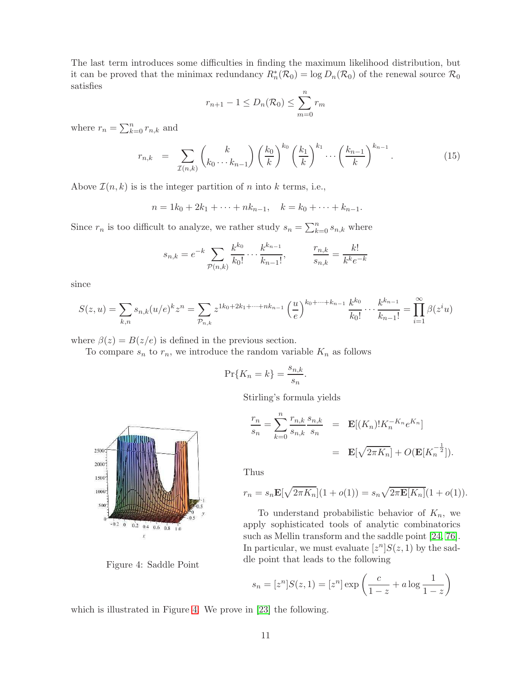The last term introduces some difficulties in finding the maximum likelihood distribution, but it can be proved that the minimax redundancy  $R_n^*(\mathcal{R}_0) = \log D_n(\mathcal{R}_0)$  of the renewal source  $\mathcal{R}_0$ satisfies

$$
r_{n+1} - 1 \le D_n(\mathcal{R}_0) \le \sum_{m=0}^n r_m
$$

where  $r_n = \sum_{k=0}^n r_{n,k}$  and

<span id="page-10-1"></span>
$$
r_{n,k} = \sum_{\mathcal{I}(n,k)} \binom{k}{k_0 \cdots k_{n-1}} \left(\frac{k_0}{k}\right)^{k_0} \left(\frac{k_1}{k}\right)^{k_1} \cdots \left(\frac{k_{n-1}}{k}\right)^{k_{n-1}}.
$$
 (15)

Above  $\mathcal{I}(n,k)$  is is the integer partition of n into k terms, i.e.,

$$
n = 1k_0 + 2k_1 + \dots + nk_{n-1}, \quad k = k_0 + \dots + k_{n-1}.
$$

Since  $r_n$  is too difficult to analyze, we rather study  $s_n = \sum_{k=0}^n s_{n,k}$  where

$$
s_{n,k} = e^{-k} \sum_{\mathcal{P}(n,k)} \frac{k^{k_0}}{k_0!} \cdots \frac{k^{k_{n-1}}}{k_{n-1}!}, \qquad \frac{r_{n,k}}{s_{n,k}} = \frac{k!}{k^k e^{-k}}
$$

since

$$
S(z, u) = \sum_{k,n} s_{n,k}(u/e)^k z^n = \sum_{\mathcal{P}_{n,k}} z^{1k_0 + 2k_1 + \dots + nk_{n-1}} \left(\frac{u}{e}\right)^{k_0 + \dots + k_{n-1}} \frac{k^{k_0}}{k_0!} \dots \frac{k^{k_{n-1}}}{k_{n-1}!} = \prod_{i=1}^{\infty} \beta(z^i u)
$$

where  $\beta(z) = B(z/e)$  is defined in the previous section.

To compare  $s_n$  to  $r_n$ , we introduce the random variable  $K_n$  as follows

$$
\Pr\{K_n = k\} = \frac{s_{n,k}}{s_n}.
$$

Stirling's formula yields

$$
\frac{r_n}{s_n} = \sum_{k=0}^n \frac{r_{n,k}}{s_{n,k}} \frac{s_{n,k}}{s_n} = \mathbf{E}[(K_n)!K_n^{-K_n}e^{K_n}]
$$

$$
= \mathbf{E}[\sqrt{2\pi K_n}] + O(\mathbf{E}[K_n^{-\frac{1}{2}}]).
$$

Thus

$$
r_n = s_n \mathbf{E}[\sqrt{2\pi K_n}](1 + o(1)) = s_n \sqrt{2\pi \mathbf{E}[K_n]}(1 + o(1)).
$$

To understand probabilistic behavior of  $K_n$ , we apply sophisticated tools of analytic combinatorics such as Mellin transform and the saddle point [\[24,](#page-26-13) [76\]](#page-28-3). In particular, we must evaluate  $[z^n]S(z,1)$  by the saddle point that leads to the following

$$
s_n = [z^n]S(z, 1) = [z^n] \exp \left(\frac{c}{1-z} + a \log \frac{1}{1-z}\right)
$$

which is illustrated in Figure [4.](#page-10-0) We prove in [\[23\]](#page-26-7) the following.



<span id="page-10-0"></span>Figure 4: Saddle Point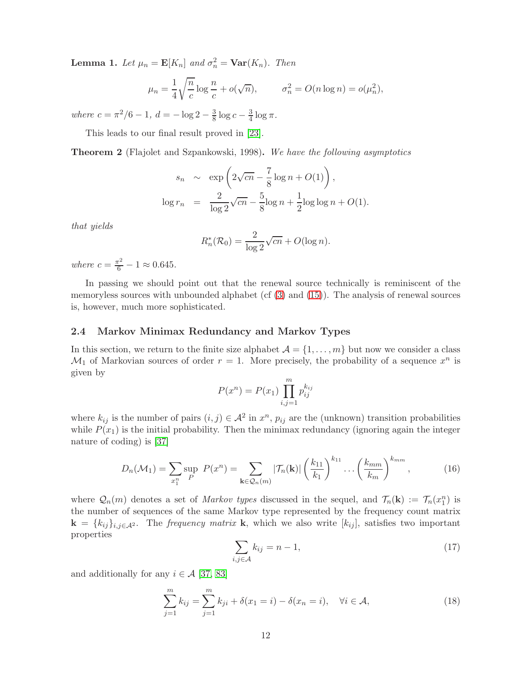**Lemma 1.** Let  $\mu_n = \mathbf{E}[K_n]$  and  $\sigma_n^2 = \mathbf{Var}(K_n)$ . Then

$$
\mu_n = \frac{1}{4} \sqrt{\frac{n}{c}} \log \frac{n}{c} + o(\sqrt{n}), \qquad \sigma_n^2 = O(n \log n) = o(\mu_n^2),
$$

where  $c = \frac{\pi^2}{6} - 1$ ,  $d = -\log 2 - \frac{3}{8}$  $\frac{3}{8}\log c - \frac{3}{4}$  $rac{3}{4} \log \pi$ .

This leads to our final result proved in [\[23\]](#page-26-7).

Theorem 2 (Flajolet and Szpankowski, 1998). We have the following asymptotics

$$
s_n \sim \exp\left(2\sqrt{cn} - \frac{7}{8}\log n + O(1)\right),
$$
  

$$
\log r_n = \frac{2}{\log 2}\sqrt{cn} - \frac{5}{8}\log n + \frac{1}{2}\log\log n + O(1).
$$

that yields

$$
R_n^*(\mathcal{R}_0) = \frac{2}{\log 2} \sqrt{cn} + O(\log n).
$$

where  $c = \frac{\pi^2}{6} - 1 \approx 0.645$ .

In passing we should point out that the renewal source technically is reminiscent of the memoryless sources with unbounded alphabet (cf  $(3)$  and  $(15)$ ). The analysis of renewal sources is, however, much more sophisticated.

## <span id="page-11-0"></span>2.4 Markov Minimax Redundancy and Markov Types

In this section, we return to the finite size alphabet  $\mathcal{A} = \{1, \ldots, m\}$  but now we consider a class  $\mathcal{M}_1$  of Markovian sources of order  $r = 1$ . More precisely, the probability of a sequence  $x^n$  is given by

$$
P(x^n) = P(x_1) \prod_{i,j=1}^{m} p_{ij}^{k_{ij}}
$$

where  $k_{ij}$  is the number of pairs  $(i, j) \in \mathcal{A}^2$  in  $x^n$ ,  $p_{ij}$  are the (unknown) transition probabilities while  $P(x_1)$  is the initial probability. Then the minimax redundancy (ignoring again the integer nature of coding) is [\[37\]](#page-26-6)

<span id="page-11-1"></span>
$$
D_n(\mathcal{M}_1) = \sum_{x_1^n} \sup_P P(x^n) = \sum_{\mathbf{k} \in \mathcal{Q}_n(m)} |\mathcal{T}_n(\mathbf{k})| \left(\frac{k_{11}}{k_1}\right)^{k_{11}} \dots \left(\frac{k_{mm}}{k_m}\right)^{k_{mm}},
$$
(16)

where  $\mathcal{Q}_n(m)$  denotes a set of *Markov types* discussed in the sequel, and  $\mathcal{T}_n(\mathbf{k}) := \mathcal{T}_n(x_1^n)$  is the number of sequences of the same Markov type represented by the frequency count matrix  $\mathbf{k} = \{k_{ij}\}_{i,j \in \mathcal{A}^2}$ . The *frequency matrix* **k**, which we also write  $[k_{ij}]$ , satisfies two important properties

$$
\sum_{i,j \in \mathcal{A}} k_{ij} = n - 1,\tag{17}
$$

and additionally for any  $i \in \mathcal{A}$  [\[37,](#page-26-6) [83\]](#page-29-4)

$$
\sum_{j=1}^{m} k_{ij} = \sum_{j=1}^{m} k_{ji} + \delta(x_1 = i) - \delta(x_n = i), \quad \forall i \in \mathcal{A},
$$
\n(18)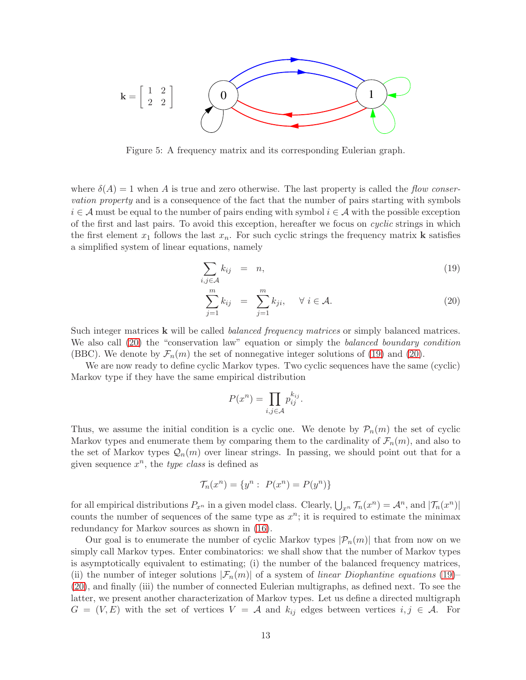

<span id="page-12-1"></span>Figure 5: A frequency matrix and its corresponding Eulerian graph.

where  $\delta(A) = 1$  when A is true and zero otherwise. The last property is called the *flow conser*vation property and is a consequence of the fact that the number of pairs starting with symbols  $i \in \mathcal{A}$  must be equal to the number of pairs ending with symbol  $i \in \mathcal{A}$  with the possible exception of the first and last pairs. To avoid this exception, hereafter we focus on cyclic strings in which the first element  $x_1$  follows the last  $x_n$ . For such cyclic strings the frequency matrix **k** satisfies a simplified system of linear equations, namely

<span id="page-12-0"></span>
$$
\sum_{i,j\in\mathcal{A}}k_{ij} = n,\tag{19}
$$

$$
\sum_{j=1}^{m} k_{ij} = \sum_{j=1}^{m} k_{ji}, \quad \forall i \in \mathcal{A}.
$$
 (20)

Such integer matrices **k** will be called *balanced frequency matrices* or simply balanced matrices. We also call [\(20\)](#page-12-0) the "conservation law" equation or simply the balanced boundary condition (BBC). We denote by  $\mathcal{F}_n(m)$  the set of nonnegative integer solutions of [\(19\)](#page-12-0) and [\(20\)](#page-12-0).

We are now ready to define cyclic Markov types. Two cyclic sequences have the same (cyclic) Markov type if they have the same empirical distribution

$$
P(x^n) = \prod_{i,j \in \mathcal{A}} p_{ij}^{k_{ij}}.
$$

Thus, we assume the initial condition is a cyclic one. We denote by  $\mathcal{P}_n(m)$  the set of cyclic Markov types and enumerate them by comparing them to the cardinality of  $\mathcal{F}_n(m)$ , and also to the set of Markov types  $\mathcal{Q}_n(m)$  over linear strings. In passing, we should point out that for a given sequence  $x^n$ , the *type class* is defined as

$$
\mathcal{T}_n(x^n) = \{ y^n : \ P(x^n) = P(y^n) \}
$$

for all empirical distributions  $P_{x^n}$  in a given model class. Clearly,  $\bigcup_{x^n} \mathcal{T}_n(x^n) = \mathcal{A}^n$ , and  $|\mathcal{T}_n(x^n)|$ counts the number of sequences of the same type as  $x^n$ ; it is required to estimate the minimax redundancy for Markov sources as shown in [\(16\)](#page-11-1).

Our goal is to enumerate the number of cyclic Markov types  $|\mathcal{P}_n(m)|$  that from now on we simply call Markov types. Enter combinatorics: we shall show that the number of Markov types is asymptotically equivalent to estimating; (i) the number of the balanced frequency matrices, (ii) the number of integer solutions  $|\mathcal{F}_n(m)|$  of a system of linear Diophantine equations [\(19\)](#page-12-0)– [\(20\)](#page-12-0), and finally (iii) the number of connected Eulerian multigraphs, as defined next. To see the latter, we present another characterization of Markov types. Let us define a directed multigraph  $G = (V, E)$  with the set of vertices  $V = A$  and  $k_{ij}$  edges between vertices  $i, j \in A$ . For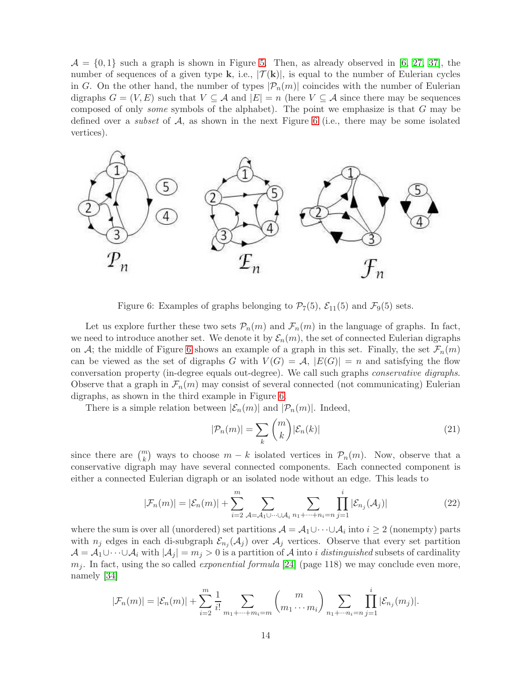$\mathcal{A} = \{0,1\}$  such a graph is shown in Figure [5.](#page-12-1) Then, as already observed in [\[6,](#page-25-9) [27,](#page-26-14) [37\]](#page-26-6), the number of sequences of a given type k, i.e.,  $|\mathcal{T}(\mathbf{k})|$ , is equal to the number of Eulerian cycles in G. On the other hand, the number of types  $|\mathcal{P}_n(m)|$  coincides with the number of Eulerian digraphs  $G = (V, E)$  such that  $V \subseteq \mathcal{A}$  and  $|E| = n$  (here  $V \subseteq \mathcal{A}$  since there may be sequences composed of only *some* symbols of the alphabet). The point we emphasize is that  $G$  may be defined over a *subset* of  $A$ , as shown in the next Figure [6](#page-13-0) (i.e., there may be some isolated vertices).



<span id="page-13-0"></span>Figure 6: Examples of graphs belonging to  $\mathcal{P}_7(5)$ ,  $\mathcal{E}_{11}(5)$  and  $\mathcal{F}_9(5)$  sets.

Let us explore further these two sets  $P_n(m)$  and  $\mathcal{F}_n(m)$  in the language of graphs. In fact, we need to introduce another set. We denote it by  $\mathcal{E}_n(m)$ , the set of connected Eulerian digraphs on A; the middle of Figure [6](#page-13-0) shows an example of a graph in this set. Finally, the set  $\mathcal{F}_n(m)$ can be viewed as the set of digraphs G with  $V(G) = A$ ,  $|E(G)| = n$  and satisfying the flow conversation property (in-degree equals out-degree). We call such graphs conservative digraphs. Observe that a graph in  $\mathcal{F}_n(m)$  may consist of several connected (not communicating) Eulerian digraphs, as shown in the third example in Figure [6.](#page-13-0)

There is a simple relation between  $|\mathcal{E}_n(m)|$  and  $|\mathcal{P}_n(m)|$ . Indeed,

$$
|\mathcal{P}_n(m)| = \sum_k \binom{m}{k} |\mathcal{E}_n(k)| \tag{21}
$$

since there are  $\binom{m}{k}$  ways to choose  $m - k$  isolated vertices in  $\mathcal{P}_n(m)$ . Now, observe that a conservative digraph may have several connected components. Each connected component is either a connected Eulerian digraph or an isolated node without an edge. This leads to

$$
|\mathcal{F}_n(m)| = |\mathcal{E}_n(m)| + \sum_{i=2}^m \sum_{\mathcal{A} = \mathcal{A}_1 \cup \dots \cup \mathcal{A}_i} \sum_{n_1 + \dots + n_i = n} \prod_{j=1}^i |\mathcal{E}_{n_j}(\mathcal{A}_j)| \tag{22}
$$

where the sum is over all (unordered) set partitions  $\mathcal{A} = \mathcal{A}_1 \cup \cdots \cup \mathcal{A}_i$  into  $i \geq 2$  (nonempty) parts with  $n_j$  edges in each di-subgraph  $\mathcal{E}_{n_j}(\mathcal{A}_j)$  over  $\mathcal{A}_j$  vertices. Observe that every set partition  $\mathcal{A} = \mathcal{A}_1 \cup \cdots \cup \mathcal{A}_i$  with  $|\mathcal{A}_j| = m_j > 0$  is a partition of  $\mathcal{A}$  into i distinguished subsets of cardinality  $m_j$ . In fact, using the so called *exponential formula* [\[24\]](#page-26-13) (page 118) we may conclude even more, namely [\[34\]](#page-26-15)

$$
|\mathcal{F}_n(m)| = |\mathcal{E}_n(m)| + \sum_{i=2}^m \frac{1}{i!} \sum_{m_1 + \dots + m_i = m} {m \choose m_1 \cdots m_i} \sum_{n_1 + \dots + n_i = n} \prod_{j=1}^i |\mathcal{E}_{n_j}(m_j)|.
$$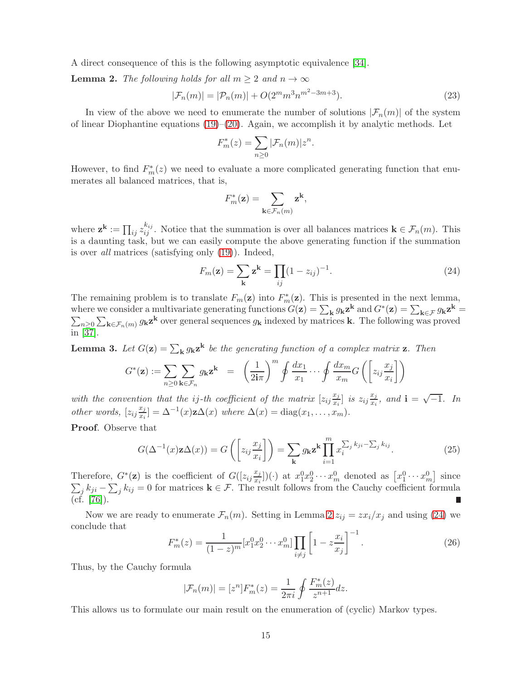A direct consequence of this is the following asymptotic equivalence [\[34\]](#page-26-15).

<span id="page-14-0"></span>**Lemma 2.** The following holds for all  $m \geq 2$  and  $n \to \infty$ 

$$
|\mathcal{F}_n(m)| = |\mathcal{P}_n(m)| + O(2^m m^3 n^{m^2 - 3m + 3}).\tag{23}
$$

.

In view of the above we need to enumerate the number of solutions  $|\mathcal{F}_n(m)|$  of the system of linear Diophantine equations  $(19)$ – $(20)$ . Again, we accomplish it by analytic methods. Let

$$
F_m^*(z) = \sum_{n\geq 0} |\mathcal{F}_n(m)| z^n
$$

However, to find  $F_m^*(z)$  we need to evaluate a more complicated generating function that enumerates all balanced matrices, that is,

$$
F_m^*(\mathbf{z}) = \sum_{\mathbf{k} \in \mathcal{F}_n(m)} \mathbf{z}^{\mathbf{k}},
$$

where  $\mathbf{z}^{\mathbf{k}} := \prod_{ij} z_{ij}^{k_{ij}}$ . Notice that the summation is over all balances matrices  $\mathbf{k} \in \mathcal{F}_n(m)$ . This is a daunting task, but we can easily compute the above generating function if the summation is over all matrices (satisfying only [\(19\)](#page-12-0)). Indeed,

<span id="page-14-1"></span>
$$
F_m(\mathbf{z}) = \sum_{\mathbf{k}} \mathbf{z}^{\mathbf{k}} = \prod_{ij} (1 - z_{ij})^{-1}.
$$
 (24)

The remaining problem is to translate  $F_m(\mathbf{z})$  into  $F_m^*(\mathbf{z})$ . This is presented in the next lemma, where we consider a multivariate generating functions  $G(\mathbf{z}) = \sum_{\mathbf{k}} g_{\mathbf{k}} \mathbf{z}^{\mathbf{k}}$  and  $G^*(\mathbf{z}) = \sum_{\mathbf{k} \in \mathcal{F}} g_{\mathbf{k}} \mathbf{z}^{\mathbf{k}} =$  $\sum_{n\geq 0}\sum_{\mathbf{k}\in\mathcal{F}_n(m)}g_{\mathbf{k}}\mathbf{z}^{\mathbf{k}}$  over general sequences  $g_{\mathbf{k}}$  indexed by matrices **k**. The following was proved in [\[37\]](#page-26-6).

**Lemma 3.** Let  $G(\mathbf{z}) = \sum_{\mathbf{k}} g_{\mathbf{k}} \mathbf{z}^{\mathbf{k}}$  be the generating function of a complex matrix **z**. Then

$$
G^*(\mathbf{z}) := \sum_{n\geq 0} \sum_{\mathbf{k}\in\mathcal{F}_n} g_{\mathbf{k}} \mathbf{z}^{\mathbf{k}} = \left(\frac{1}{2\mathbf{i}\pi}\right)^m \oint \frac{dx_1}{x_1} \cdots \oint \frac{dx_m}{x_m} G\left(\left[z_{ij}\frac{x_j}{x_i}\right]\right)
$$

with the convention that the *ij*-th coefficient of the matrix  $[z_{ij}\frac{x_j}{x_i}]$  $\left[\frac{x_j}{x_i}\right]$  is  $z_{ij}\frac{x_j}{x_i}$  $\frac{x_j}{x_i}$ , and  $\mathbf{i} = \sqrt{-1}$ . In other words,  $[z_{ij}\frac{x_j}{x_i}]$  $\frac{x_j}{x_i}$ ] =  $\Delta^{-1}(x)$ **z** $\Delta(x)$  where  $\Delta(x)$  = diag $(x_1, \ldots, x_m)$ .

Proof. Observe that

$$
G(\Delta^{-1}(x)\mathbf{z}\Delta(x)) = G\left(\left[z_{ij}\frac{x_j}{x_i}\right]\right) = \sum_{\mathbf{k}} g_{\mathbf{k}} \mathbf{z}^{\mathbf{k}} \prod_{i=1}^{m} x_i^{\sum_j k_{ji} - \sum_j k_{ij}}.
$$
 (25)

Therefore,  $G^*(\mathbf{z})$  is the coefficient of  $G([z_{ij}\frac{x_j}{x_i}$  $\left[x_i^0\right](\cdot)$  at  $x_1^0x_2^0\cdots x_m^0$  denoted as  $\left[x_1^0\cdots x_m^0\right]$  $\sum$ since  $j k_{ji} - \sum_j k_{ij} = 0$  for matrices  $\mathbf{k} \in \mathcal{F}$ . The result follows from the Cauchy coefficient formula  $(cf. [76]).$  $(cf. [76]).$  $(cf. [76]).$ 

Now we are ready to enumerate  $\mathcal{F}_n(m)$ . Setting in Lemma [2](#page-14-0)  $z_{ij} = zx_i/x_j$  and using [\(24\)](#page-14-1) we conclude that

$$
F_m^*(z) = \frac{1}{(1-z)^m} [x_1^0 x_2^0 \cdots x_m^0] \prod_{i \neq j} \left[ 1 - z \frac{x_i}{x_j} \right]^{-1}.
$$
 (26)

Thus, by the Cauchy formula

$$
|\mathcal{F}_n(m)| = [z^n]F_m^*(z) = \frac{1}{2\pi i} \oint \frac{F_m^*(z)}{z^{n+1}} dz.
$$

This allows us to formulate our main result on the enumeration of (cyclic) Markov types.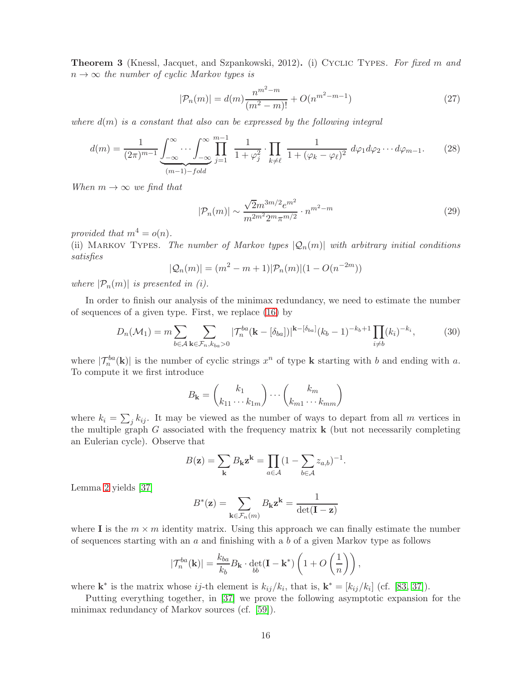**Theorem 3** (Knessl, Jacquet, and Szpankowski, 2012). (i) CYCLIC TYPES. For fixed m and  $n \to \infty$  the number of cyclic Markov types is

$$
|\mathcal{P}_n(m)| = d(m) \frac{n^{m^2 - m}}{(m^2 - m)!} + O(n^{m^2 - m - 1})
$$
\n(27)

where  $d(m)$  is a constant that also can be expressed by the following integral

$$
d(m) = \frac{1}{(2\pi)^{m-1}} \underbrace{\int_{-\infty}^{\infty} \cdots \int_{-\infty}^{\infty} \prod_{j=1}^{m-1} \frac{1}{1+\varphi_j^2} \cdot \prod_{k \neq \ell} \frac{1}{1+(\varphi_k-\varphi_\ell)^2} d\varphi_1 d\varphi_2 \cdots d\varphi_{m-1}}_{(m-1)-fold}.
$$
 (28)

When  $m \to \infty$  we find that

$$
|\mathcal{P}_n(m)| \sim \frac{\sqrt{2}m^{3m/2}e^{m^2}}{m^{2m^2}2^m\pi^{m/2}} \cdot n^{m^2 - m}
$$
 (29)

provided that  $m^4 = o(n)$ .

(ii) MARKOV TYPES. The number of Markov types  $|Q_n(m)|$  with arbitrary initial conditions satisfies

$$
|\mathcal{Q}_n(m)| = (m^2 - m + 1)|\mathcal{P}_n(m)|(1 - O(n^{-2m}))
$$

where  $|\mathcal{P}_n(m)|$  is presented in (i).

In order to finish our analysis of the minimax redundancy, we need to estimate the number of sequences of a given type. First, we replace [\(16\)](#page-11-1) by

$$
D_n(\mathcal{M}_1) = m \sum_{b \in \mathcal{A}} \sum_{\mathbf{k} \in \mathcal{F}_n, k_{ba} > 0} |\mathcal{T}_n^{ba}(\mathbf{k} - [\delta_{ba}])|^{k - [\delta_{ba}]} (k_b - 1)^{-k_b + 1} \prod_{i \neq b} (k_i)^{-k_i},
$$
(30)

where  $|\mathcal{T}_n^{ba}(\mathbf{k})|$  is the number of cyclic strings  $x^n$  of type **k** starting with b and ending with a. To compute it we first introduce

$$
B_{\mathbf{k}} = \begin{pmatrix} k_1 \\ k_{11} \cdots k_{1m} \end{pmatrix} \cdots \begin{pmatrix} k_m \\ k_{m1} \cdots k_{mm} \end{pmatrix}
$$

where  $k_i = \sum_j k_{ij}$ . It may be viewed as the number of ways to depart from all m vertices in the multiple graph  $G$  associated with the frequency matrix  $\bf{k}$  (but not necessarily completing an Eulerian cycle). Observe that

$$
B(\mathbf{z}) = \sum_{\mathbf{k}} B_{\mathbf{k}} \mathbf{z}^{\mathbf{k}} = \prod_{a \in \mathcal{A}} (1 - \sum_{b \in \mathcal{A}} z_{a,b})^{-1}.
$$

Lemma [2](#page-14-0) yields [\[37\]](#page-26-6)

$$
B^*(\mathbf{z}) = \sum_{\mathbf{k} \in \mathcal{F}_n(m)} B_{\mathbf{k}} \mathbf{z}^{\mathbf{k}} = \frac{1}{\det(\mathbf{I} - \mathbf{z})}
$$

where I is the  $m \times m$  identity matrix. Using this approach we can finally estimate the number of sequences starting with an  $a$  and finishing with a  $b$  of a given Markov type as follows

$$
|\mathcal{T}_n^{ba}(\mathbf{k})| = \frac{k_{ba}}{k_b} B_{\mathbf{k}} \cdot \det_{bb}(\mathbf{I} - \mathbf{k}^*) \left(1 + O\left(\frac{1}{n}\right)\right),
$$

where  $\mathbf{k}^*$  is the matrix whose ij-th element is  $k_{ij}/k_i$ , that is,  $\mathbf{k}^* = [k_{ij}/k_i]$  (cf. [\[83,](#page-29-4) [37\]](#page-26-6)).

Putting everything together, in [\[37\]](#page-26-6) we prove the following asymptotic expansion for the minimax redundancy of Markov sources (cf. [\[59\]](#page-28-11)).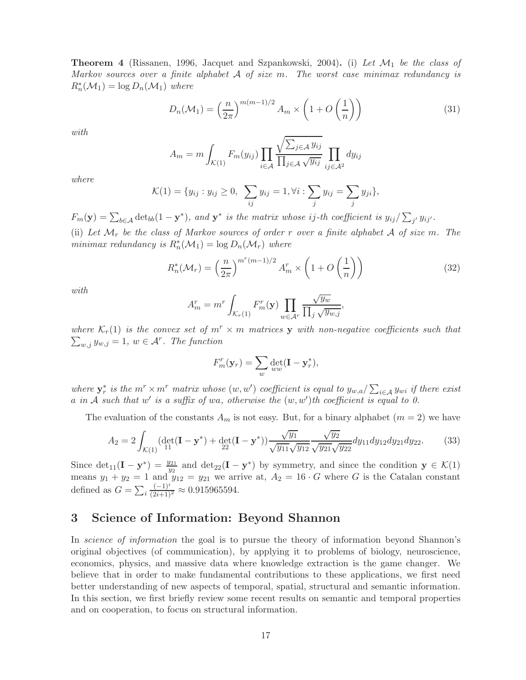**Theorem 4** (Rissanen, 1996, Jacquet and Szpankowski, 2004). (i) Let  $\mathcal{M}_1$  be the class of Markov sources over a finite alphabet  $A$  of size m. The worst case minimax redundancy is  $R_n^*(\mathcal{M}_1) = \log D_n(\mathcal{M}_1)$  where

$$
D_n(\mathcal{M}_1) = \left(\frac{n}{2\pi}\right)^{m(m-1)/2} A_m \times \left(1 + O\left(\frac{1}{n}\right)\right)
$$
(31)

with

$$
A_m = m \int_{K(1)} F_m(y_{ij}) \prod_{i \in A} \frac{\sqrt{\sum_{j \in A} y_{ij}}}{\prod_{j \in A} \sqrt{y_{ij}}} \prod_{ij \in A^2} dy_{ij}
$$

where

$$
\mathcal{K}(1) = \{y_{ij} : y_{ij} \ge 0, \ \sum_{ij} y_{ij} = 1, \forall i : \sum_j y_{ij} = \sum_j y_{ji}\},
$$

 $F_m(\mathbf{y}) = \sum_{b \in \mathcal{A}} \det_{bb} (1 - \mathbf{y}^*)$ , and  $\mathbf{y}^*$  is the matrix whose ij-th coefficient is  $y_{ij}/\sum_{j'} y_{ij'}$ .

(ii) Let  $\mathcal{M}_r$  be the class of Markov sources of order r over a finite alphabet A of size m. The minimax redundancy is  $R_n^*(\mathcal{M}_1) = \log D_n(\mathcal{M}_r)$  where

$$
R_n^*(\mathcal{M}_r) = \left(\frac{n}{2\pi}\right)^{m^r(m-1)/2} A_m^r \times \left(1 + O\left(\frac{1}{n}\right)\right)
$$
(32)

with

$$
A_m^r = m^r \int_{\mathcal{K}_r(1)} F_m^r(\mathbf{y}) \prod_{w \in \mathcal{A}^r} \frac{\sqrt{y_w}}{\prod_j \sqrt{y_{w,j}}},
$$

 $\sum_{w,j} y_{w,j} = 1, w \in \mathcal{A}^r$ . The function where  $\mathcal{K}_r(1)$  is the convex set of  $m^r \times m$  matrices y with non-negative coefficients such that

$$
F_m^r(\mathbf{y}_r) = \sum_w \det_{ww}(\mathbf{I} - \mathbf{y}_r^*),
$$

where  $y_r^*$  is the  $m^r \times m^r$  matrix whose  $(w, w')$  coefficient is equal to  $y_{w,a}/\sum_{i \in A} y_{wi}$  if there exist a in A such that  $w'$  is a suffix of wa, otherwise the  $(w, w')$ th coefficient is equal to 0.

The evaluation of the constants  $A_m$  is not easy. But, for a binary alphabet  $(m = 2)$  we have

$$
A_2 = 2 \int_{\mathcal{K}(1)} (\det_{11} (\mathbf{I} - \mathbf{y}^*) + \det_{22} (\mathbf{I} - \mathbf{y}^*)) \frac{\sqrt{y_1}}{\sqrt{y_{11}} \sqrt{y_{12}}} \frac{\sqrt{y_2}}{\sqrt{y_{21}} \sqrt{y_{22}}} dy_{11} dy_{12} dy_{21} dy_{22}.
$$
 (33)

Since  $\det_{11}(\mathbf{I} - \mathbf{y}^*) = \frac{y_{21}}{y_2}$  and  $\det_{22}(\mathbf{I} - \mathbf{y}^*)$  by symmetry, and since the condition  $\mathbf{y} \in \mathcal{K}(1)$ means  $y_1 + y_2 = 1$  and  $y_{12} = y_{21}$  we arrive at,  $A_2 = 16 \cdot G$  where G is the Catalan constant defined as  $G = \sum_i$  $\frac{(-1)^i}{(2i+1)^2} \approx 0.915965594.$ 

# <span id="page-16-0"></span>3 Science of Information: Beyond Shannon

In science of information the goal is to pursue the theory of information beyond Shannon's original objectives (of communication), by applying it to problems of biology, neuroscience, economics, physics, and massive data where knowledge extraction is the game changer. We believe that in order to make fundamental contributions to these applications, we first need better understanding of new aspects of temporal, spatial, structural and semantic information. In this section, we first briefly review some recent results on semantic and temporal properties and on cooperation, to focus on structural information.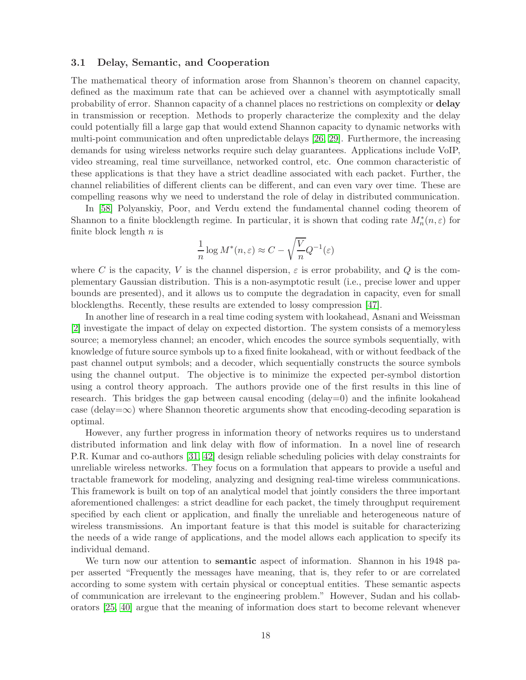#### 3.1 Delay, Semantic, and Cooperation

The mathematical theory of information arose from Shannon's theorem on channel capacity, defined as the maximum rate that can be achieved over a channel with asymptotically small probability of error. Shannon capacity of a channel places no restrictions on complexity or delay in transmission or reception. Methods to properly characterize the complexity and the delay could potentially fill a large gap that would extend Shannon capacity to dynamic networks with multi-point communication and often unpredictable delays [\[26,](#page-26-3) [29\]](#page-26-2). Furthermore, the increasing demands for using wireless networks require such delay guarantees. Applications include VoIP, video streaming, real time surveillance, networked control, etc. One common characteristic of these applications is that they have a strict deadline associated with each packet. Further, the channel reliabilities of different clients can be different, and can even vary over time. These are compelling reasons why we need to understand the role of delay in distributed communication.

In [\[58\]](#page-27-5) Polyanskiy, Poor, and Verdu extend the fundamental channel coding theorem of Shannon to a finite blocklength regime. In particular, it is shown that coding rate  $M_n^*(n, \varepsilon)$  for finite block length  $n$  is

$$
\frac{1}{n}\log M^*(n,\varepsilon) \approx C - \sqrt{\frac{V}{n}}Q^{-1}(\varepsilon)
$$

where C is the capacity, V is the channel dispersion,  $\varepsilon$  is error probability, and Q is the complementary Gaussian distribution. This is a non-asymptotic result (i.e., precise lower and upper bounds are presented), and it allows us to compute the degradation in capacity, even for small blocklengths. Recently, these results are extended to lossy compression [\[47\]](#page-27-14).

In another line of research in a real time coding system with lookahead, Asnani and Weissman [\[2\]](#page-25-10) investigate the impact of delay on expected distortion. The system consists of a memoryless source; a memoryless channel; an encoder, which encodes the source symbols sequentially, with knowledge of future source symbols up to a fixed finite lookahead, with or without feedback of the past channel output symbols; and a decoder, which sequentially constructs the source symbols using the channel output. The objective is to minimize the expected per-symbol distortion using a control theory approach. The authors provide one of the first results in this line of research. This bridges the gap between causal encoding (delay=0) and the infinite lookahead case (delay= $\infty$ ) where Shannon theoretic arguments show that encoding-decoding separation is optimal.

However, any further progress in information theory of networks requires us to understand distributed information and link delay with flow of information. In a novel line of research P.R. Kumar and co-authors [\[31,](#page-26-16) [42\]](#page-27-15) design reliable scheduling policies with delay constraints for unreliable wireless networks. They focus on a formulation that appears to provide a useful and tractable framework for modeling, analyzing and designing real-time wireless communications. This framework is built on top of an analytical model that jointly considers the three important aforementioned challenges: a strict deadline for each packet, the timely throughput requirement specified by each client or application, and finally the unreliable and heterogeneous nature of wireless transmissions. An important feature is that this model is suitable for characterizing the needs of a wide range of applications, and the model allows each application to specify its individual demand.

We turn now our attention to **semantic** aspect of information. Shannon in his 1948 paper asserted "Frequently the messages have meaning, that is, they refer to or are correlated according to some system with certain physical or conceptual entities. These semantic aspects of communication are irrelevant to the engineering problem." However, Sudan and his collaborators [\[25,](#page-26-1) [40\]](#page-27-2) argue that the meaning of information does start to become relevant whenever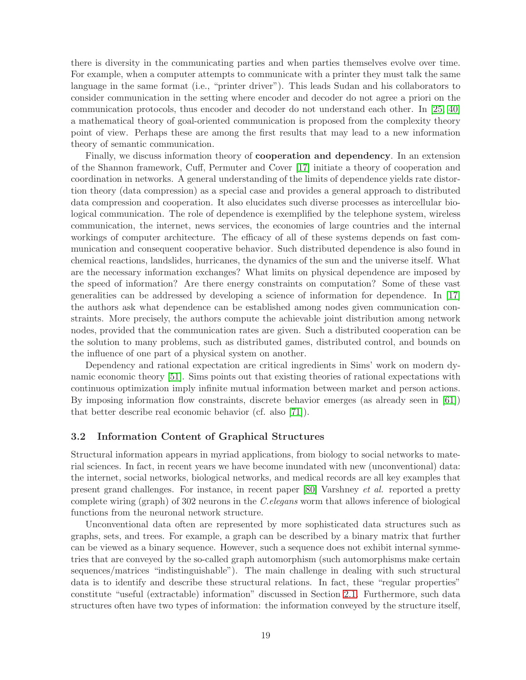there is diversity in the communicating parties and when parties themselves evolve over time. For example, when a computer attempts to communicate with a printer they must talk the same language in the same format (i.e., "printer driver"). This leads Sudan and his collaborators to consider communication in the setting where encoder and decoder do not agree a priori on the communication protocols, thus encoder and decoder do not understand each other. In [\[25,](#page-26-1) [40\]](#page-27-2) a mathematical theory of goal-oriented communication is proposed from the complexity theory point of view. Perhaps these are among the first results that may lead to a new information theory of semantic communication.

Finally, we discuss information theory of cooperation and dependency. In an extension of the Shannon framework, Cuff, Permuter and Cover [\[17\]](#page-25-4) initiate a theory of cooperation and coordination in networks. A general understanding of the limits of dependence yields rate distortion theory (data compression) as a special case and provides a general approach to distributed data compression and cooperation. It also elucidates such diverse processes as intercellular biological communication. The role of dependence is exemplified by the telephone system, wireless communication, the internet, news services, the economies of large countries and the internal workings of computer architecture. The efficacy of all of these systems depends on fast communication and consequent cooperative behavior. Such distributed dependence is also found in chemical reactions, landslides, hurricanes, the dynamics of the sun and the universe itself. What are the necessary information exchanges? What limits on physical dependence are imposed by the speed of information? Are there energy constraints on computation? Some of these vast generalities can be addressed by developing a science of information for dependence. In [\[17\]](#page-25-4) the authors ask what dependence can be established among nodes given communication constraints. More precisely, the authors compute the achievable joint distribution among network nodes, provided that the communication rates are given. Such a distributed cooperation can be the solution to many problems, such as distributed games, distributed control, and bounds on the influence of one part of a physical system on another.

Dependency and rational expectation are critical ingredients in Sims' work on modern dynamic economic theory [\[51\]](#page-27-16). Sims points out that existing theories of rational expectations with continuous optimization imply infinite mutual information between market and person actions. By imposing information flow constraints, discrete behavior emerges (as already seen in [\[61\]](#page-28-15)) that better describe real economic behavior (cf. also [\[71\]](#page-28-16)).

#### 3.2 Information Content of Graphical Structures

Structural information appears in myriad applications, from biology to social networks to material sciences. In fact, in recent years we have become inundated with new (unconventional) data: the internet, social networks, biological networks, and medical records are all key examples that present grand challenges. For instance, in recent paper [\[80\]](#page-28-17) Varshney et al. reported a pretty complete wiring (graph) of 302 neurons in the C.elegans worm that allows inference of biological functions from the neuronal network structure.

Unconventional data often are represented by more sophisticated data structures such as graphs, sets, and trees. For example, a graph can be described by a binary matrix that further can be viewed as a binary sequence. However, such a sequence does not exhibit internal symmetries that are conveyed by the so-called graph automorphism (such automorphisms make certain sequences/matrices "indistinguishable"). The main challenge in dealing with such structural data is to identify and describe these structural relations. In fact, these "regular properties" constitute "useful (extractable) information" discussed in Section [2.1.](#page-3-1) Furthermore, such data structures often have two types of information: the information conveyed by the structure itself,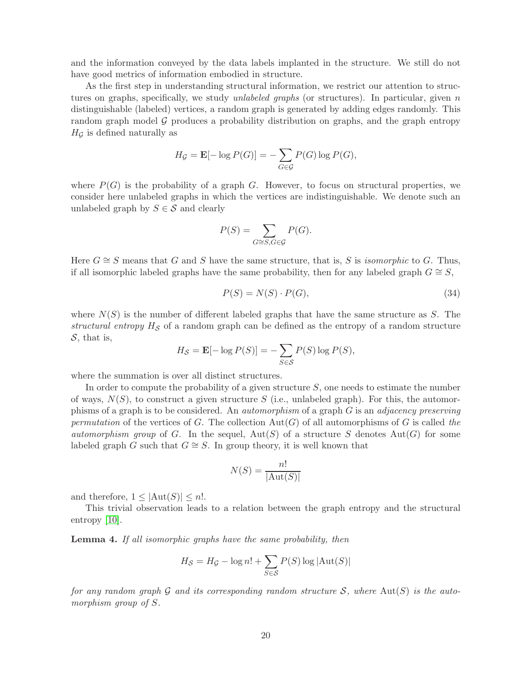and the information conveyed by the data labels implanted in the structure. We still do not have good metrics of information embodied in structure.

As the first step in understanding structural information, we restrict our attention to structures on graphs, specifically, we study *unlabeled graphs* (or structures). In particular, given  $n$ distinguishable (labeled) vertices, a random graph is generated by adding edges randomly. This random graph model  $\mathcal G$  produces a probability distribution on graphs, and the graph entropy  $H_G$  is defined naturally as

$$
H_{\mathcal{G}} = \mathbf{E}[-\log P(G)] = -\sum_{G \in \mathcal{G}} P(G) \log P(G),
$$

where  $P(G)$  is the probability of a graph G. However, to focus on structural properties, we consider here unlabeled graphs in which the vertices are indistinguishable. We denote such an unlabeled graph by  $S \in \mathcal{S}$  and clearly

$$
P(S) = \sum_{G \cong S, G \in \mathcal{G}} P(G).
$$

Here  $G \cong S$  means that G and S have the same structure, that is, S is *isomorphic* to G. Thus, if all isomorphic labeled graphs have the same probability, then for any labeled graph  $G \cong S$ ,

$$
P(S) = N(S) \cdot P(G),\tag{34}
$$

where  $N(S)$  is the number of different labeled graphs that have the same structure as S. The structural entropy  $H<sub>S</sub>$  of a random graph can be defined as the entropy of a random structure  $S$ , that is,

$$
H_{\mathcal{S}} = \mathbf{E}[-\log P(S)] = -\sum_{S \in \mathcal{S}} P(S) \log P(S),
$$

where the summation is over all distinct structures.

In order to compute the probability of a given structure  $S$ , one needs to estimate the number of ways,  $N(S)$ , to construct a given structure S (i.e., unlabeled graph). For this, the automorphisms of a graph is to be considered. An automorphism of a graph G is an adjacency preserving permutation of the vertices of G. The collection  $Aut(G)$  of all automorphisms of G is called the automorphism group of G. In the sequel,  $Aut(S)$  of a structure S denotes  $Aut(G)$  for some labeled graph G such that  $G \cong S$ . In group theory, it is well known that

$$
N(S) = \frac{n!}{|\text{Aut}(S)|}
$$

and therefore,  $1 < |Aut(S)| < n!$ .

This trivial observation leads to a relation between the graph entropy and the structural entropy [\[10\]](#page-25-11).

Lemma 4. If all isomorphic graphs have the same probability, then

$$
H_{\mathcal{S}} = H_{\mathcal{G}} - \log n! + \sum_{S \in \mathcal{S}} P(S) \log |\text{Aut}(S)|
$$

for any random graph G and its corresponding random structure S, where  $Aut(S)$  is the automorphism group of S.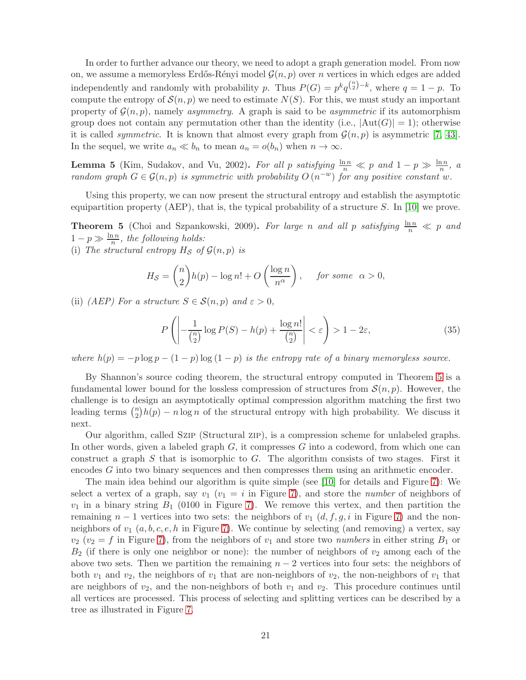In order to further advance our theory, we need to adopt a graph generation model. From now on, we assume a memoryless Erdős-Rényi model  $\mathcal{G}(n, p)$  over n vertices in which edges are added independently and randomly with probability p. Thus  $P(G) = p^k q^{\binom{n}{2} - k}$ , where  $q = 1 - p$ . To compute the entropy of  $\mathcal{S}(n, p)$  we need to estimate  $N(S)$ . For this, we must study an important property of  $\mathcal{G}(n, p)$ , namely asymmetry. A graph is said to be asymmetric if its automorphism group does not contain any permutation other than the identity (i.e.,  $|\text{Aut}(G)| = 1$ ); otherwise it is called *symmetric*. It is known that almost every graph from  $\mathcal{G}(n, p)$  is asymmetric [\[7,](#page-25-12) [43\]](#page-27-17). In the sequel, we write  $a_n \ll b_n$  to mean  $a_n = o(b_n)$  when  $n \to \infty$ .

**Lemma 5** (Kim, Sudakov, and Vu, 2002). For all p satisfying  $\frac{\ln n}{n} \ll p$  and  $1 - p \gg \frac{\ln n}{n}$ , a random graph  $G \in \mathcal{G}(n, p)$  is symmetric with probability  $O(n^{-w})$  for any positive constant w.

Using this property, we can now present the structural entropy and establish the asymptotic equipartition property (AEP), that is, the typical probability of a structure  $S$ . In [\[10\]](#page-25-11) we prove.

<span id="page-20-0"></span>**Theorem 5** (Choi and Szpankowski, 2009). For large n and all p satisfying  $\frac{\ln n}{n} \ll p$  and  $1-p \gg \frac{\ln n}{n}$ , the following holds:

(i) The structural entropy  $H_{\mathcal{S}}$  of  $\mathcal{G}(n, p)$  is

$$
H_{\mathcal{S}} = \binom{n}{2} h(p) - \log n! + O\left(\frac{\log n}{n^{\alpha}}\right), \quad \text{for some} \quad \alpha > 0,
$$

(ii) (AEP) For a structure  $S \in \mathcal{S}(n, p)$  and  $\varepsilon > 0$ ,

$$
P\left(\left|\frac{1}{\binom{n}{2}}\log P(S) - h(p) + \frac{\log n!}{\binom{n}{2}}\right| < \varepsilon\right) > 1 - 2\varepsilon,\tag{35}
$$

where  $h(p) = -p \log p - (1 - p) \log (1 - p)$  is the entropy rate of a binary memoryless source.

By Shannon's source coding theorem, the structural entropy computed in Theorem [5](#page-20-0) is a fundamental lower bound for the lossless compression of structures from  $\mathcal{S}(n, p)$ . However, the challenge is to design an asymptotically optimal compression algorithm matching the first two leading terms  $\binom{n}{2}$  $\binom{n}{2}h(p) - n \log n$  of the structural entropy with high probability. We discuss it next.

Our algorithm, called Szip (Structural zip), is a compression scheme for unlabeled graphs. In other words, given a labeled graph  $G$ , it compresses  $G$  into a codeword, from which one can construct a graph  $S$  that is isomorphic to  $G$ . The algorithm consists of two stages. First it encodes G into two binary sequences and then compresses them using an arithmetic encoder.

The main idea behind our algorithm is quite simple (see [\[10\]](#page-25-11) for details and Figure [7\)](#page-21-0): We select a vertex of a graph, say  $v_1$  ( $v_1 = i$  in Figure [7\)](#page-21-0), and store the *number* of neighbors of  $v_1$  in a binary string  $B_1$  (0100 in Figure [7\)](#page-21-0). We remove this vertex, and then partition the remaining  $n-1$  vertices into two sets: the neighbors of  $v_1(d, f, g, i)$  in Figure [7\)](#page-21-0) and the nonneighbors of  $v_1$   $(a, b, c, e, h$  in Figure [7\)](#page-21-0). We continue by selecting (and removing) a vertex, say  $v_2$  ( $v_2 = f$  in Figure [7\)](#page-21-0), from the neighbors of  $v_1$  and store two numbers in either string  $B_1$  or  $B_2$  (if there is only one neighbor or none): the number of neighbors of  $v_2$  among each of the above two sets. Then we partition the remaining  $n-2$  vertices into four sets: the neighbors of both  $v_1$  and  $v_2$ , the neighbors of  $v_1$  that are non-neighbors of  $v_2$ , the non-neighbors of  $v_1$  that are neighbors of  $v_2$ , and the non-neighbors of both  $v_1$  and  $v_2$ . This procedure continues until all vertices are processed. This process of selecting and splitting vertices can be described by a tree as illustrated in Figure [7.](#page-21-0)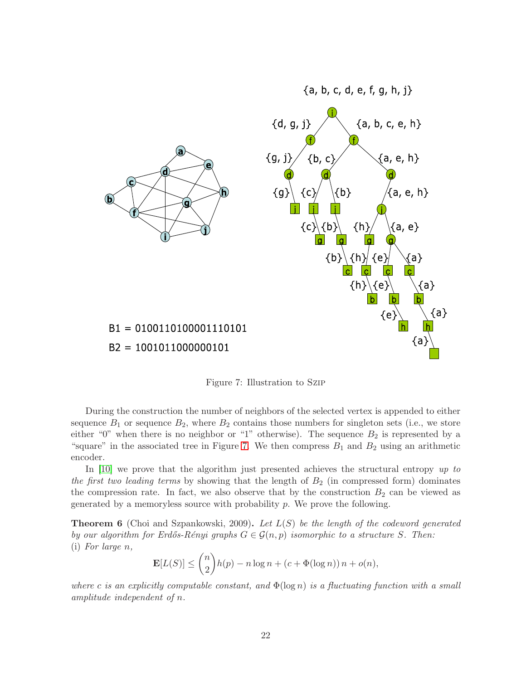

<span id="page-21-0"></span>Figure 7: Illustration to Szip

During the construction the number of neighbors of the selected vertex is appended to either sequence  $B_1$  or sequence  $B_2$ , where  $B_2$  contains those numbers for singleton sets (i.e., we store either "0" when there is no neighbor or "1" otherwise). The sequence  $B_2$  is represented by a "square" in the associated tree in Figure [7.](#page-21-0) We then compress  $B_1$  and  $B_2$  using an arithmetic encoder.

In [\[10\]](#page-25-11) we prove that the algorithm just presented achieves the structural entropy up to the first two leading terms by showing that the length of  $B_2$  (in compressed form) dominates the compression rate. In fact, we also observe that by the construction  $B_2$  can be viewed as generated by a memoryless source with probability  $p$ . We prove the following.

<span id="page-21-1"></span>**Theorem 6** (Choi and Szpankowski, 2009). Let  $L(S)$  be the length of the codeword generated by our algorithm for Erdős-Rényi graphs  $G \in \mathcal{G}(n, p)$  isomorphic to a structure S. Then: (i) For large n,

$$
\mathbf{E}[L(S)] \le {n \choose 2}h(p) - n\log n + (c + \Phi(\log n)) n + o(n),
$$

where c is an explicitly computable constant, and  $\Phi(\log n)$  is a fluctuating function with a small amplitude independent of n.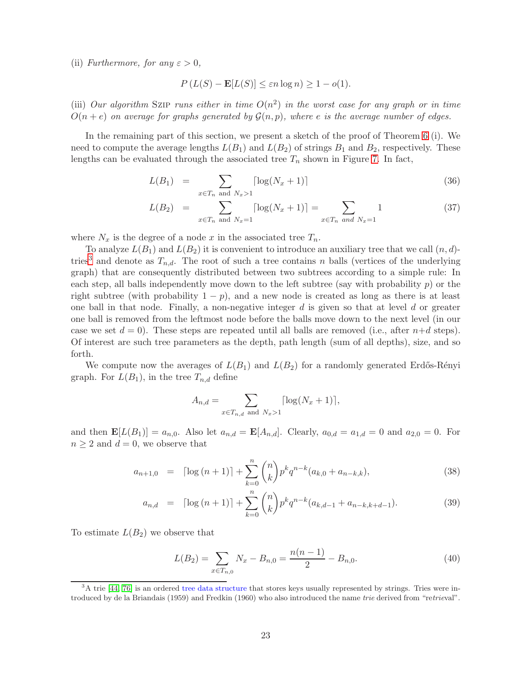(ii) Furthermore, for any  $\varepsilon > 0$ ,

$$
P(L(S) - \mathbf{E}[L(S)] \le \varepsilon n \log n) \ge 1 - o(1).
$$

(iii) Our algorithm SZIP runs either in time  $O(n^2)$  in the worst case for any graph or in time  $O(n + e)$  on average for graphs generated by  $\mathcal{G}(n, p)$ , where e is the average number of edges.

In the remaining part of this section, we present a sketch of the proof of Theorem [6](#page-21-1) (i). We need to compute the average lengths  $L(B_1)$  and  $L(B_2)$  of strings  $B_1$  and  $B_2$ , respectively. These lengths can be evaluated through the associated tree  $T_n$  shown in Figure [7.](#page-21-0) In fact,

$$
L(B_1) = \sum_{x \in T_n \text{ and } N_x > 1} \lceil \log(N_x + 1) \rceil \tag{36}
$$

$$
L(B_2) = \sum_{x \in T_n \text{ and } N_x = 1} \lceil \log(N_x + 1) \rceil = \sum_{x \in T_n \text{ and } N_x = 1} 1 \tag{37}
$$

where  $N_x$  is the degree of a node x in the associated tree  $T_n$ .

To analyze  $L(B_1)$  and  $L(B_2)$  it is convenient to introduce an auxiliary tree that we call  $(n, d)$ -tries<sup>[3](#page-22-0)</sup> and denote as  $T_{n,d}$ . The root of such a tree contains n balls (vertices of the underlying graph) that are consequently distributed between two subtrees according to a simple rule: In each step, all balls independently move down to the left subtree (say with probability  $p$ ) or the right subtree (with probability  $1 - p$ ), and a new node is created as long as there is at least one ball in that node. Finally, a non-negative integer  $d$  is given so that at level  $d$  or greater one ball is removed from the leftmost node before the balls move down to the next level (in our case we set  $d = 0$ . These steps are repeated until all balls are removed (i.e., after  $n+d$  steps). Of interest are such tree parameters as the depth, path length (sum of all depths), size, and so forth.

We compute now the averages of  $L(B_1)$  and  $L(B_2)$  for a randomly generated Erdős-Rényi graph. For  $L(B_1)$ , in the tree  $T_{n,d}$  define

$$
A_{n,d} = \sum_{x \in T_{n,d} \text{ and } N_x > 1} \lceil \log(N_x + 1) \rceil,
$$

and then  $\mathbf{E}[L(B_1)] = a_{n,0}$ . Also let  $a_{n,d} = \mathbf{E}[A_{n,d}]$ . Clearly,  $a_{0,d} = a_{1,d} = 0$  and  $a_{2,0} = 0$ . For  $n \geq 2$  and  $d = 0$ , we observe that

<span id="page-22-1"></span>
$$
a_{n+1,0} = \lceil \log (n+1) \rceil + \sum_{k=0}^{n} \binom{n}{k} p^k q^{n-k} (a_{k,0} + a_{n-k,k}), \tag{38}
$$

$$
a_{n,d} = \lceil \log (n+1) \rceil + \sum_{k=0}^{n} \binom{n}{k} p^k q^{n-k} (a_{k,d-1} + a_{n-k,k+d-1}). \tag{39}
$$

To estimate  $L(B_2)$  we observe that

$$
L(B_2) = \sum_{x \in T_{n,0}} N_x - B_{n,0} = \frac{n(n-1)}{2} - B_{n,0}.
$$
 (40)

<span id="page-22-0"></span> $3A$  trie [\[44,](#page-27-18) [76\]](#page-28-3) is an ordered tree data structure that stores keys usually represented by strings. Tries were introduced by de la Briandais (1959) and Fredkin (1960) who also introduced the name trie derived from "retrieval".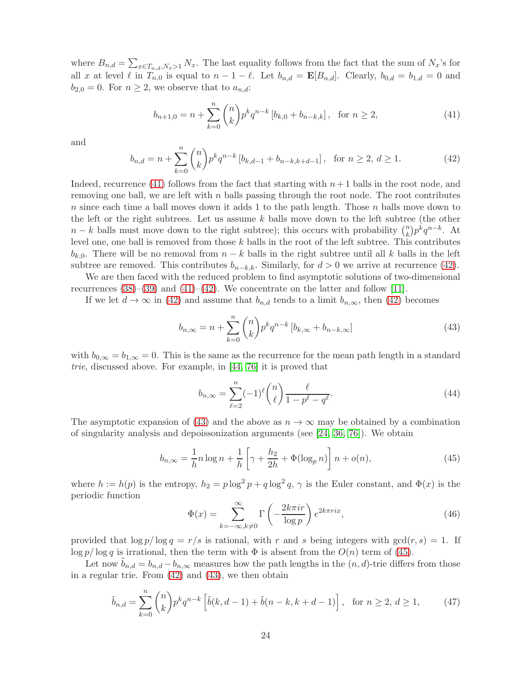where  $B_{n,d} = \sum_{x \in T_{n,d}, N_x > 1} N_x$ . The last equality follows from the fact that the sum of  $N_x$ 's for all x at level  $\ell$  in  $T_{n,0}$  is equal to  $n-1-\ell$ . Let  $b_{n,d} = \mathbf{E}[B_{n,d}]$ . Clearly,  $b_{0,d} = b_{1,d} = 0$  and  $b_{2,0} = 0$ . For  $n \geq 2$ , we observe that to  $a_{n,d}$ :

<span id="page-23-0"></span>
$$
b_{n+1,0} = n + \sum_{k=0}^{n} {n \choose k} p^k q^{n-k} \left[ b_{k,0} + b_{n-k,k} \right], \text{ for } n \ge 2,
$$
 (41)

and

<span id="page-23-1"></span>
$$
b_{n,d} = n + \sum_{k=0}^{n} \binom{n}{k} p^k q^{n-k} \left[ b_{k,d-1} + b_{n-k,k+d-1} \right], \text{ for } n \ge 2, d \ge 1.
$$
 (42)

Indeed, recurrence [\(41\)](#page-23-0) follows from the fact that starting with  $n+1$  balls in the root node, and removing one ball, we are left with  $n$  balls passing through the root node. The root contributes n since each time a ball moves down it adds 1 to the path length. Those  $n$  balls move down to the left or the right subtrees. Let us assume  $k$  balls move down to the left subtree (the other  $n - k$  balls must move down to the right subtree); this occurs with probability  $\binom{n}{k}$  $\binom{n}{k} p^k q^{n-k}$ . At level one, one ball is removed from those  $k$  balls in the root of the left subtree. This contributes  $b_{k,0}$ . There will be no removal from  $n - k$  balls in the right subtree until all k balls in the left subtree are removed. This contributes  $b_{n-k,k}$ . Similarly, for  $d > 0$  we arrive at recurrence [\(42\)](#page-23-1).

We are then faced with the reduced problem to find asymptotic solutions of two-dimensional recurrences  $(38)$ – $(39)$  and  $(41)$ – $(42)$ . We concentrate on the latter and follow [\[11\]](#page-25-13).

If we let  $d \to \infty$  in [\(42\)](#page-23-1) and assume that  $b_{n,d}$  tends to a limit  $b_{n,\infty}$ , then (42) becomes

<span id="page-23-2"></span>
$$
b_{n,\infty} = n + \sum_{k=0}^{n} \binom{n}{k} p^k q^{n-k} \left[ b_{k,\infty} + b_{n-k,\infty} \right]
$$
\n
$$
(43)
$$

with  $b_{0,\infty} = b_{1,\infty} = 0$ . This is the same as the recurrence for the mean path length in a standard trie, discussed above. For example, in [\[44,](#page-27-18) [76\]](#page-28-3) it is proved that

$$
b_{n,\infty} = \sum_{\ell=2}^{n} (-1)^{\ell} \binom{n}{\ell} \frac{\ell}{1 - p^{\ell} - q^{\ell}}.
$$
\n(44)

The asymptotic expansion of [\(43\)](#page-23-2) and the above as  $n \to \infty$  may be obtained by a combination of singularity analysis and depoissonization arguments (see [\[24,](#page-26-13) [36,](#page-26-17) [76\]](#page-28-3)). We obtain

<span id="page-23-3"></span>
$$
b_{n,\infty} = \frac{1}{h} n \log n + \frac{1}{h} \left[ \gamma + \frac{h_2}{2h} + \Phi(\log_p n) \right] n + o(n), \tag{45}
$$

where  $h := h(p)$  is the entropy,  $h_2 = p \log^2 p + q \log^2 q$ ,  $\gamma$  is the Euler constant, and  $\Phi(x)$  is the periodic function

<span id="page-23-5"></span>
$$
\Phi(x) = \sum_{k=-\infty, k \neq 0}^{\infty} \Gamma\left(-\frac{2k\pi ir}{\log p}\right) e^{2k\pi r ix},\tag{46}
$$

provided that  $\log p / \log q = r/s$  is rational, with r and s being integers with  $gcd(r, s) = 1$ . If log p/ log q is irrational, then the term with  $\Phi$  is absent from the  $O(n)$  term of [\(45\)](#page-23-3).

Let now  $b_{n,d} = b_{n,d} - b_{n,\infty}$  measures how the path lengths in the  $(n,d)$ -trie differs from those in a regular trie. From [\(42\)](#page-23-1) and [\(43\)](#page-23-2), we then obtain

<span id="page-23-4"></span>
$$
\tilde{b}_{n,d} = \sum_{k=0}^{n} \binom{n}{k} p^k q^{n-k} \left[ \tilde{b}(k, d-1) + \tilde{b}(n-k, k+d-1) \right], \text{ for } n \ge 2, d \ge 1,
$$
 (47)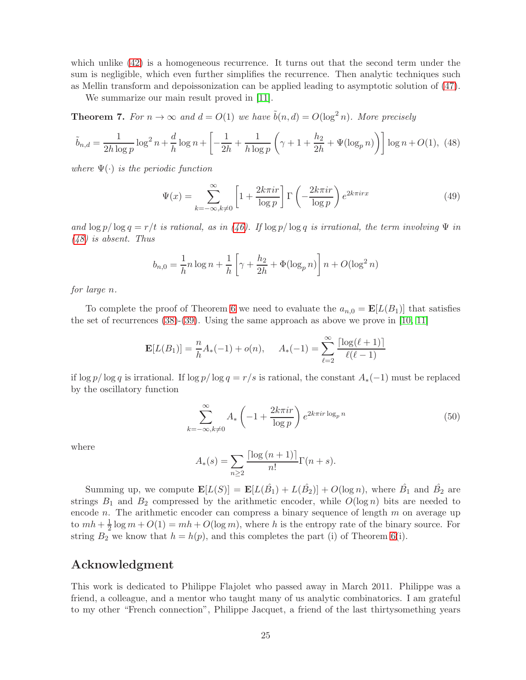which unlike  $(42)$  is a homogeneous recurrence. It turns out that the second term under the sum is negligible, which even further simplifies the recurrence. Then analytic techniques such as Mellin transform and depoissonization can be applied leading to asymptotic solution of [\(47\)](#page-23-4).

We summarize our main result proved in [\[11\]](#page-25-13).

**Theorem 7.** For  $n \to \infty$  and  $d = O(1)$  we have  $\tilde{b}(n, d) = O(\log^2 n)$ . More precisely

<span id="page-24-0"></span>
$$
\tilde{b}_{n,d} = \frac{1}{2h \log p} \log^2 n + \frac{d}{h} \log n + \left[ -\frac{1}{2h} + \frac{1}{h \log p} \left( \gamma + 1 + \frac{h_2}{2h} + \Psi(\log_p n) \right) \right] \log n + O(1), \tag{48}
$$

where  $\Psi(\cdot)$  is the periodic function

$$
\Psi(x) = \sum_{k=-\infty, k \neq 0}^{\infty} \left[ 1 + \frac{2k\pi ir}{\log p} \right] \Gamma\left(-\frac{2k\pi ir}{\log p}\right) e^{2k\pi irx}
$$
\n(49)

and  $\log p / \log q = r/t$  is rational, as in [\(46\)](#page-23-5). If  $\log p / \log q$  is irrational, the term involving  $\Psi$  in [\(48\)](#page-24-0) is absent. Thus

$$
b_{n,0} = \frac{1}{h} n \log n + \frac{1}{h} \left[ \gamma + \frac{h_2}{2h} + \Phi(\log_p n) \right] n + O(\log^2 n)
$$

for large n.

To complete the proof of Theorem [6](#page-21-1) we need to evaluate the  $a_{n,0} = \mathbf{E}[L(B_1)]$  that satisfies the set of recurrences  $(38)-(39)$  $(38)-(39)$ . Using the same approach as above we prove in [\[10,](#page-25-11) [11\]](#page-25-13)

$$
\mathbf{E}[L(B_1)] = \frac{n}{h}A_*(-1) + o(n), \quad A_*(-1) = \sum_{\ell=2}^{\infty} \frac{\lceil \log(\ell+1) \rceil}{\ell(\ell-1)}
$$

if log p/ log q is irrational. If log p/ log q = r/s is rational, the constant  $A_*(-1)$  must be replaced by the oscillatory function

$$
\sum_{k=-\infty,k\neq 0}^{\infty} A_* \left( -1 + \frac{2k\pi i r}{\log p} \right) e^{2k\pi i r \log_p n}
$$
 (50)

where

$$
A_*(s) = \sum_{n\geq 2} \frac{\lceil \log{(n+1)} \rceil}{n!} \Gamma(n+s).
$$

Summing up, we compute  $\mathbf{E}[L(S)] = \mathbf{E}[L(\hat{B}_1) + L(\hat{B}_2)] + O(\log n)$ , where  $\hat{B}_1$  and  $\hat{B}_2$  are strings  $B_1$  and  $B_2$  compressed by the arithmetic encoder, while  $O(\log n)$  bits are needed to encode  $n$ . The arithmetic encoder can compress a binary sequence of length  $m$  on average up to  $mh+\frac{1}{2}$  $\frac{1}{2} \log m + O(1) = mh + O(\log m)$ , where h is the entropy rate of the binary source. For string  $B_2$  we know that  $h = h(p)$ , and this completes the part (i) of Theorem [6\(](#page-21-1)i).

# Acknowledgment

This work is dedicated to Philippe Flajolet who passed away in March 2011. Philippe was a friend, a colleague, and a mentor who taught many of us analytic combinatorics. I am grateful to my other "French connection", Philippe Jacquet, a friend of the last thirtysomething years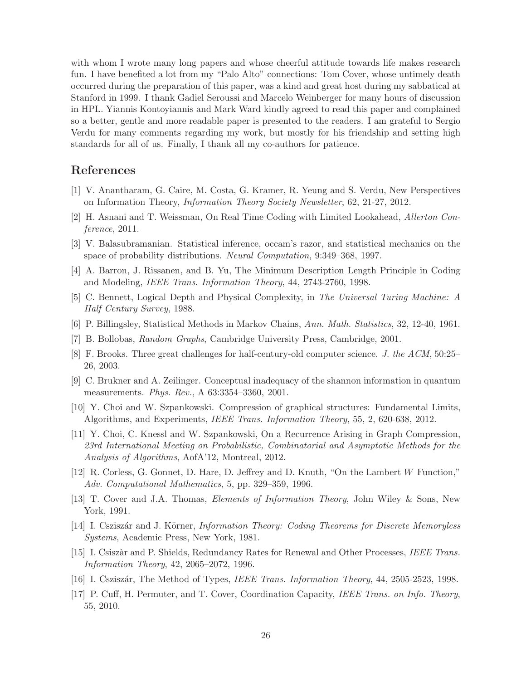with whom I wrote many long papers and whose cheerful attitude towards life makes research fun. I have benefited a lot from my "Palo Alto" connections: Tom Cover, whose untimely death occurred during the preparation of this paper, was a kind and great host during my sabbatical at Stanford in 1999. I thank Gadiel Seroussi and Marcelo Weinberger for many hours of discussion in HPL. Yiannis Kontoyiannis and Mark Ward kindly agreed to read this paper and complained so a better, gentle and more readable paper is presented to the readers. I am grateful to Sergio Verdu for many comments regarding my work, but mostly for his friendship and setting high standards for all of us. Finally, I thank all my co-authors for patience.

# <span id="page-25-0"></span>References

- <span id="page-25-10"></span>[1] V. Anantharam, G. Caire, M. Costa, G. Kramer, R. Yeung and S. Verdu, New Perspectives on Information Theory, Information Theory Society Newsletter, 62, 21-27, 2012.
- <span id="page-25-6"></span>[2] H. Asnani and T. Weissman, On Real Time Coding with Limited Lookahead, Allerton Conference, 2011.
- [3] V. Balasubramanian. Statistical inference, occam's razor, and statistical mechanics on the space of probability distributions. Neural Computation, 9:349–368, 1997.
- <span id="page-25-1"></span>[4] A. Barron, J. Rissanen, and B. Yu, The Minimum Description Length Principle in Coding and Modeling, IEEE Trans. Information Theory, 44, 2743-2760, 1998.
- <span id="page-25-9"></span>[5] C. Bennett, Logical Depth and Physical Complexity, in The Universal Turing Machine: A Half Century Survey, 1988.
- <span id="page-25-12"></span>[6] P. Billingsley, Statistical Methods in Markov Chains, Ann. Math. Statistics, 32, 12-40, 1961.
- <span id="page-25-2"></span>[7] B. Bollobas, Random Graphs, Cambridge University Press, Cambridge, 2001.
- <span id="page-25-3"></span>[8] F. Brooks. Three great challenges for half-century-old computer science. J. the ACM, 50:25– 26, 2003.
- <span id="page-25-11"></span>[9] C. Brukner and A. Zeilinger. Conceptual inadequacy of the shannon information in quantum measurements. Phys. Rev., A 63:3354–3360, 2001.
- [10] Y. Choi and W. Szpankowski. Compression of graphical structures: Fundamental Limits, Algorithms, and Experiments, IEEE Trans. Information Theory, 55, 2, 620-638, 2012.
- <span id="page-25-13"></span>[11] Y. Choi, C. Knessl and W. Szpankowski, On a Recurrence Arising in Graph Compression, 23rd International Meeting on Probabilistic, Combinatorial and Asymptotic Methods for the Analysis of Algorithms, AofA'12, Montreal, 2012.
- <span id="page-25-7"></span>[12] R. Corless, G. Gonnet, D. Hare, D. Jeffrey and D. Knuth, "On the Lambert W Function," Adv. Computational Mathematics, 5, pp. 329–359, 1996.
- <span id="page-25-5"></span>[13] T. Cover and J.A. Thomas, Elements of Information Theory, John Wiley & Sons, New York, 1991.
- <span id="page-25-8"></span>[14] I. Csziszár and J. Körner, *Information Theory: Coding Theorems for Discrete Memoryless* Systems, Academic Press, New York, 1981.
- [15] I. Csiszàr and P. Shields, Redundancy Rates for Renewal and Other Processes, IEEE Trans. Information Theory, 42, 2065–2072, 1996.
- <span id="page-25-4"></span>[16] I. Csziszár, The Method of Types, *IEEE Trans. Information Theory*, 44, 2505-2523, 1998.
- [17] P. Cuff, H. Permuter, and T. Cover, Coordination Capacity, IEEE Trans. on Info. Theory, 55, 2010.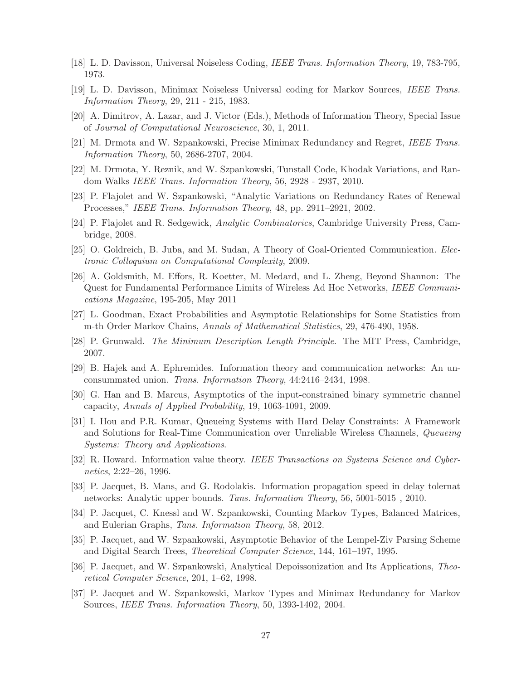- <span id="page-26-12"></span>[18] L. D. Davisson, Universal Noiseless Coding, IEEE Trans. Information Theory, 19, 783-795, 1973.
- <span id="page-26-0"></span>[19] L. D. Davisson, Minimax Noiseless Universal coding for Markov Sources, IEEE Trans. Information Theory, 29, 211 - 215, 1983.
- <span id="page-26-8"></span>[20] A. Dimitrov, A. Lazar, and J. Victor (Eds.), Methods of Information Theory, Special Issue of Journal of Computational Neuroscience, 30, 1, 2011.
- <span id="page-26-9"></span>[21] M. Drmota and W. Szpankowski, Precise Minimax Redundancy and Regret, IEEE Trans. Information Theory, 50, 2686-2707, 2004.
- <span id="page-26-7"></span>[22] M. Drmota, Y. Reznik, and W. Szpankowski, Tunstall Code, Khodak Variations, and Random Walks IEEE Trans. Information Theory, 56, 2928 - 2937, 2010.
- <span id="page-26-13"></span>[23] P. Flajolet and W. Szpankowski, "Analytic Variations on Redundancy Rates of Renewal Processes," IEEE Trans. Information Theory, 48, pp. 2911–2921, 2002.
- <span id="page-26-1"></span>[24] P. Flajolet and R. Sedgewick, Analytic Combinatorics, Cambridge University Press, Cambridge, 2008.
- <span id="page-26-3"></span>[25] O. Goldreich, B. Juba, and M. Sudan, A Theory of Goal-Oriented Communication. Electronic Colloquium on Computational Complexity, 2009.
- [26] A. Goldsmith, M. Effors, R. Koetter, M. Medard, and L. Zheng, Beyond Shannon: The Quest for Fundamental Performance Limits of Wireless Ad Hoc Networks, IEEE Communications Magazine, 195-205, May 2011
- <span id="page-26-14"></span><span id="page-26-11"></span>[27] L. Goodman, Exact Probabilities and Asymptotic Relationships for Some Statistics from m-th Order Markov Chains, Annals of Mathematical Statistics, 29, 476-490, 1958.
- <span id="page-26-2"></span>[28] P. Grunwald. The Minimum Description Length Principle. The MIT Press, Cambridge, 2007.
- <span id="page-26-10"></span>[29] B. Hajek and A. Ephremides. Information theory and communication networks: An unconsummated union. Trans. Information Theory, 44:2416–2434, 1998.
- <span id="page-26-16"></span>[30] G. Han and B. Marcus, Asymptotics of the input-constrained binary symmetric channel capacity, Annals of Applied Probability, 19, 1063-1091, 2009.
- [31] I. Hou and P.R. Kumar, Queueing Systems with Hard Delay Constraints: A Framework and Solutions for Real-Time Communication over Unreliable Wireless Channels, Queueing Systems: Theory and Applications.
- <span id="page-26-4"></span>[32] R. Howard. Information value theory. IEEE Transactions on Systems Science and Cybernetics, 2:22–26, 1996.
- <span id="page-26-15"></span>[33] P. Jacquet, B. Mans, and G. Rodolakis. Information propagation speed in delay tolernat networks: Analytic upper bounds. Tans. Information Theory, 56, 5001-5015 , 2010.
- <span id="page-26-5"></span>[34] P. Jacquet, C. Knessl and W. Szpankowski, Counting Markov Types, Balanced Matrices, and Eulerian Graphs, Tans. Information Theory, 58, 2012.
- <span id="page-26-17"></span>[35] P. Jacquet, and W. Szpankowski, Asymptotic Behavior of the Lempel-Ziv Parsing Scheme and Digital Search Trees, Theoretical Computer Science, 144, 161–197, 1995.
- [36] P. Jacquet, and W. Szpankowski, Analytical Depoissonization and Its Applications, Theoretical Computer Science, 201, 1–62, 1998.
- <span id="page-26-6"></span>[37] P. Jacquet and W. Szpankowski, Markov Types and Minimax Redundancy for Markov Sources, IEEE Trans. Information Theory, 50, 1393-1402, 2004.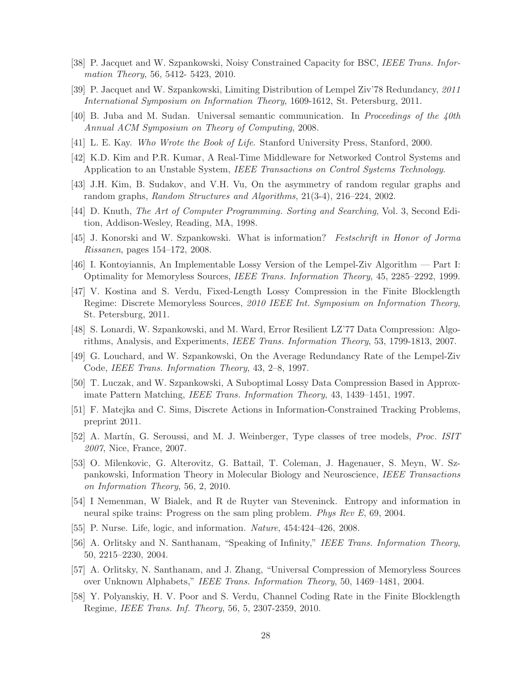- <span id="page-27-12"></span><span id="page-27-7"></span>[38] P. Jacquet and W. Szpankowski, Noisy Constrained Capacity for BSC, IEEE Trans. Information Theory, 56, 5412- 5423, 2010.
- <span id="page-27-2"></span>[39] P. Jacquet and W. Szpankowski, Limiting Distribution of Lempel Ziv'78 Redundancy, 2011 International Symposium on Information Theory, 1609-1612, St. Petersburg, 2011.
- <span id="page-27-0"></span>[40] B. Juba and M. Sudan. Universal semantic communication. In Proceedings of the 40th Annual ACM Symposium on Theory of Computing, 2008.
- <span id="page-27-15"></span>[41] L. E. Kay. Who Wrote the Book of Life. Stanford University Press, Stanford, 2000.
- <span id="page-27-17"></span>[42] K.D. Kim and P.R. Kumar, A Real-Time Middleware for Networked Control Systems and Application to an Unstable System, IEEE Transactions on Control Systems Technology.
- <span id="page-27-18"></span>[43] J.H. Kim, B. Sudakov, and V.H. Vu, On the asymmetry of random regular graphs and random graphs, Random Structures and Algorithms, 21(3-4), 216–224, 2002.
- <span id="page-27-4"></span>[44] D. Knuth, The Art of Computer Programming. Sorting and Searching, Vol. 3, Second Edition, Addison-Wesley, Reading, MA, 1998.
- <span id="page-27-10"></span>[45] J. Konorski and W. Szpankowski. What is information? Festschrift in Honor of Jorma Rissanen, pages 154–172, 2008.
- <span id="page-27-14"></span>[46] I. Kontoyiannis, An Implementable Lossy Version of the Lempel-Ziv Algorithm — Part I: Optimality for Memoryless Sources, IEEE Trans. Information Theory, 45, 2285–2292, 1999.
- [47] V. Kostina and S. Verdu, Fixed-Length Lossy Compression in the Finite Blocklength Regime: Discrete Memoryless Sources, 2010 IEEE Int. Symposium on Information Theory, St. Petersburg, 2011.
- <span id="page-27-11"></span><span id="page-27-8"></span>[48] S. Lonardi, W. Szpankowski, and M. Ward, Error Resilient LZ'77 Data Compression: Algorithms, Analysis, and Experiments, IEEE Trans. Information Theory, 53, 1799-1813, 2007.
- <span id="page-27-9"></span>[49] G. Louchard, and W. Szpankowski, On the Average Redundancy Rate of the Lempel-Ziv Code, IEEE Trans. Information Theory, 43, 2–8, 1997.
- <span id="page-27-16"></span>[50] T. Luczak, and W. Szpankowski, A Suboptimal Lossy Data Compression Based in Approximate Pattern Matching, IEEE Trans. Information Theory, 43, 1439–1451, 1997.
- [51] F. Matejka and C. Sims, Discrete Actions in Information-Constrained Tracking Problems, preprint 2011.
- [52] A. Martín, G. Seroussi, and M. J. Weinberger, Type classes of tree models, *Proc. ISIT* 2007, Nice, France, 2007.
- <span id="page-27-1"></span>[53] O. Milenkovic, G. Alterovitz, G. Battail, T. Coleman, J. Hagenauer, S. Meyn, W. Szpankowski, Information Theory in Molecular Biology and Neuroscience, IEEE Transactions on Information Theory, 56, 2, 2010.
- <span id="page-27-6"></span>[54] I Nemenman, W Bialek, and R de Ruyter van Steveninck. Entropy and information in neural spike trains: Progress on the sam pling problem. Phys Rev E, 69, 2004.
- <span id="page-27-13"></span><span id="page-27-3"></span>[55] P. Nurse. Life, logic, and information. Nature, 454:424–426, 2008.
- [56] A. Orlitsky and N. Santhanam, "Speaking of Infinity," IEEE Trans. Information Theory, 50, 2215–2230, 2004.
- [57] A. Orlitsky, N. Santhanam, and J. Zhang, "Universal Compression of Memoryless Sources over Unknown Alphabets," IEEE Trans. Information Theory, 50, 1469–1481, 2004.
- <span id="page-27-5"></span>[58] Y. Polyanskiy, H. V. Poor and S. Verdu, Channel Coding Rate in the Finite Blocklength Regime, IEEE Trans. Inf. Theory, 56, 5, 2307-2359, 2010.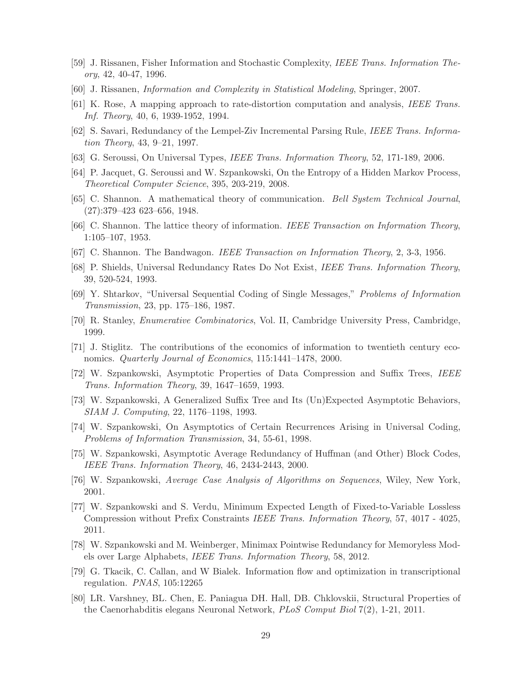- <span id="page-28-13"></span><span id="page-28-11"></span>[59] J. Rissanen, Fisher Information and Stochastic Complexity, IEEE Trans. Information Theory, 42, 40-47, 1996.
- <span id="page-28-15"></span>[60] J. Rissanen, Information and Complexity in Statistical Modeling, Springer, 2007.
- <span id="page-28-6"></span>[61] K. Rose, A mapping approach to rate-distortion computation and analysis, IEEE Trans. Inf. Theory, 40, 6, 1939-1952, 1994.
- [62] S. Savari, Redundancy of the Lempel-Ziv Incremental Parsing Rule, IEEE Trans. Information Theory, 43, 9–21, 1997.
- <span id="page-28-12"></span>[63] G. Seroussi, On Universal Types, IEEE Trans. Information Theory, 52, 171-189, 2006.
- [64] P. Jacquet, G. Seroussi and W. Szpankowski, On the Entropy of a Hidden Markov Process, Theoretical Computer Science, 395, 203-219, 2008.
- <span id="page-28-0"></span>[65] C. Shannon. A mathematical theory of communication. Bell System Technical Journal, (27):379–423 623–656, 1948.
- <span id="page-28-1"></span>[66] C. Shannon. The lattice theory of information. IEEE Transaction on Information Theory, 1:105–107, 1953.
- [67] C. Shannon. The Bandwagon. IEEE Transaction on Information Theory, 2, 3-3, 1956.
- <span id="page-28-14"></span>[68] P. Shields, Universal Redundancy Rates Do Not Exist, IEEE Trans. Information Theory, 39, 520-524, 1993.
- [69] Y. Shtarkov, "Universal Sequential Coding of Single Messages," Problems of Information Transmission, 23, pp. 175–186, 1987.
- <span id="page-28-16"></span>[70] R. Stanley, Enumerative Combinatorics, Vol. II, Cambridge University Press, Cambridge, 1999.
- <span id="page-28-4"></span>[71] J. Stiglitz. The contributions of the economics of information to twentieth century economics. *Quarterly Journal of Economics*, 115:1441–1478, 2000.
- <span id="page-28-5"></span>[72] W. Szpankowski, Asymptotic Properties of Data Compression and Suffix Trees, IEEE Trans. Information Theory, 39, 1647–1659, 1993.
- <span id="page-28-9"></span>[73] W. Szpankowski, A Generalized Suffix Tree and Its (Un)Expected Asymptotic Behaviors, SIAM J. Computing, 22, 1176–1198, 1993.
- <span id="page-28-7"></span>[74] W. Szpankowski, On Asymptotics of Certain Recurrences Arising in Universal Coding, Problems of Information Transmission, 34, 55-61, 1998.
- [75] W. Szpankowski, Asymptotic Average Redundancy of Huffman (and Other) Block Codes, IEEE Trans. Information Theory, 46, 2434-2443, 2000.
- <span id="page-28-8"></span><span id="page-28-3"></span>[76] W. Szpankowski, Average Case Analysis of Algorithms on Sequences, Wiley, New York, 2001.
- [77] W. Szpankowski and S. Verdu, Minimum Expected Length of Fixed-to-Variable Lossless Compression without Prefix Constraints IEEE Trans. Information Theory, 57, 4017 - 4025, 2011.
- <span id="page-28-10"></span><span id="page-28-2"></span>[78] W. Szpankowski and M. Weinberger, Minimax Pointwise Redundancy for Memoryless Models over Large Alphabets, IEEE Trans. Information Theory, 58, 2012.
- <span id="page-28-17"></span>[79] G. Tkacik, C. Callan, and W Bialek. Information flow and optimization in transcriptional regulation. PNAS, 105:12265
- [80] LR. Varshney, BL. Chen, E. Paniagua DH. Hall, DB. Chklovskii, Structural Properties of the Caenorhabditis elegans Neuronal Network, PLoS Comput Biol 7(2), 1-21, 2011.